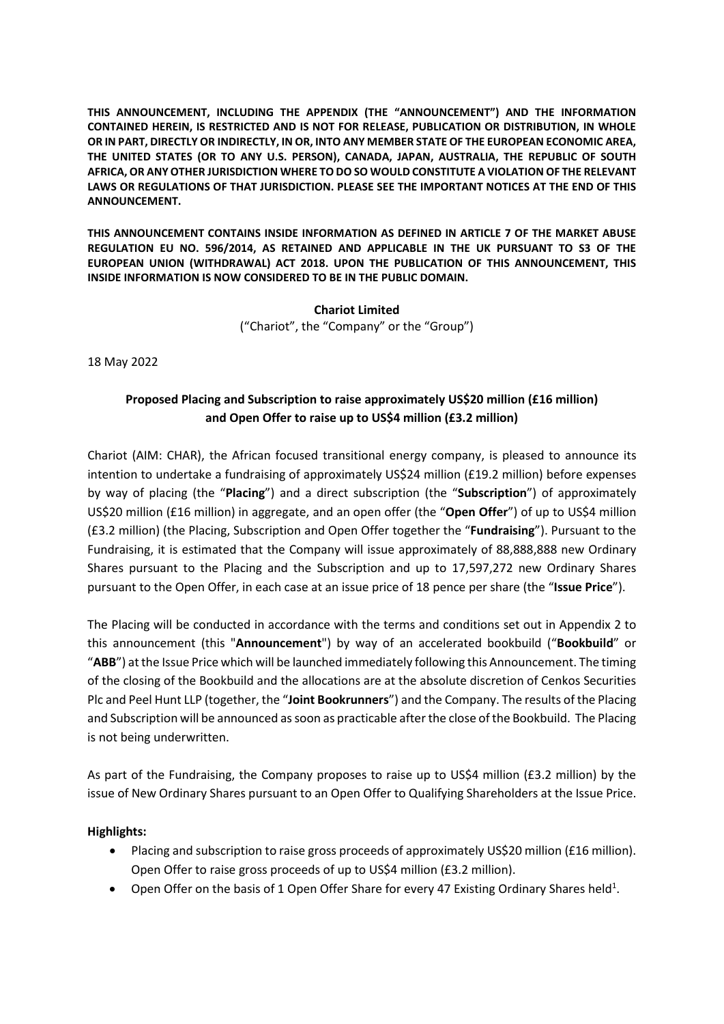**THIS ANNOUNCEMENT, INCLUDING THE APPENDIX (THE "ANNOUNCEMENT") AND THE INFORMATION CONTAINED HEREIN, IS RESTRICTED AND IS NOT FOR RELEASE, PUBLICATION OR DISTRIBUTION, IN WHOLE OR IN PART, DIRECTLY OR INDIRECTLY, IN OR, INTO ANY MEMBER STATE OF THE EUROPEAN ECONOMIC AREA, THE UNITED STATES (OR TO ANY U.S. PERSON), CANADA, JAPAN, AUSTRALIA, THE REPUBLIC OF SOUTH AFRICA, OR ANY OTHER JURISDICTION WHERE TO DO SO WOULD CONSTITUTE A VIOLATION OF THE RELEVANT LAWS OR REGULATIONS OF THAT JURISDICTION. PLEASE SEE THE IMPORTANT NOTICES AT THE END OF THIS ANNOUNCEMENT.**

**THIS ANNOUNCEMENT CONTAINS INSIDE INFORMATION AS DEFINED IN ARTICLE 7 OF THE MARKET ABUSE REGULATION EU NO. 596/2014, AS RETAINED AND APPLICABLE IN THE UK PURSUANT TO S3 OF THE EUROPEAN UNION (WITHDRAWAL) ACT 2018. UPON THE PUBLICATION OF THIS ANNOUNCEMENT, THIS INSIDE INFORMATION IS NOW CONSIDERED TO BE IN THE PUBLIC DOMAIN.**

> **Chariot Limited** ("Chariot", the "Company" or the "Group")

18 May 2022

## **Proposed Placing and Subscription to raise approximately US\$20 million (£16 million) and Open Offer to raise up to US\$4 million (£3.2 million)**

Chariot (AIM: CHAR), the African focused transitional energy company, is pleased to announce its intention to undertake a fundraising of approximately US\$24 million (£19.2 million) before expenses by way of placing (the "**Placing**") and a direct subscription (the "**Subscription**") of approximately US\$20 million (£16 million) in aggregate, and an open offer (the "**Open Offer**") of up to US\$4 million (£3.2 million) (the Placing, Subscription and Open Offer together the "**Fundraising**"). Pursuant to the Fundraising, it is estimated that the Company will issue approximately of 88,888,888 new Ordinary Shares pursuant to the Placing and the Subscription and up to 17,597,272 new Ordinary Shares pursuant to the Open Offer, in each case at an issue price of 18 pence per share (the "**Issue Price**").

The Placing will be conducted in accordance with the terms and conditions set out in Appendix 2 to this announcement (this "**Announcement**") by way of an accelerated bookbuild ("**Bookbuild**" or "**ABB**") at the Issue Price which will be launched immediately following this Announcement. The timing of the closing of the Bookbuild and the allocations are at the absolute discretion of Cenkos Securities Plc and Peel Hunt LLP (together, the "**Joint Bookrunners**") and the Company. The results of the Placing and Subscription will be announced as soon as practicable after the close of the Bookbuild. The Placing is not being underwritten.

As part of the Fundraising, the Company proposes to raise up to US\$4 million (£3.2 million) by the issue of New Ordinary Shares pursuant to an Open Offer to Qualifying Shareholders at the Issue Price.

#### **Highlights:**

- Placing and subscription to raise gross proceeds of approximately US\$20 million (£16 million). Open Offer to raise gross proceeds of up to US\$4 million (£3.2 million).
- Open Offer on the basis of 1 Open Offer Share for every 47 Existing Ordinary Shares held<sup>1</sup>.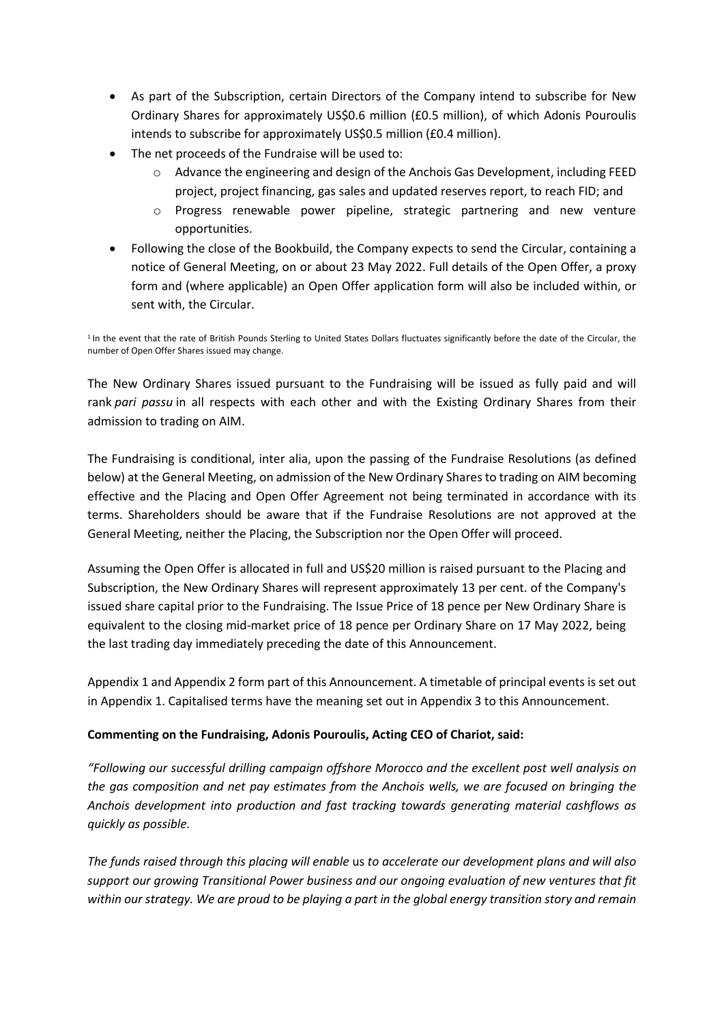- As part of the Subscription, certain Directors of the Company intend to subscribe for New Ordinary Shares for approximately US\$0.6 million (£0.5 million), of which Adonis Pouroulis intends to subscribe for approximately US\$0.5 million (£0.4 million).
- The net proceeds of the Fundraise will be used to:
	- $\circ$  Advance the engineering and design of the Anchois Gas Development, including FEED project, project financing, gas sales and updated reserves report, to reach FID; and
	- o Progress renewable power pipeline, strategic partnering and new venture opportunities.
- Following the close of the Bookbuild, the Company expects to send the Circular, containing a notice of General Meeting, on or about 23 May 2022. Full details of the Open Offer, a proxy form and (where applicable) an Open Offer application form will also be included within, or sent with, the Circular.

<sup>1</sup> In the event that the rate of British Pounds Sterling to United States Dollars fluctuates significantly before the date of the Circular, the number of Open Offer Shares issued may change.

The New Ordinary Shares issued pursuant to the Fundraising will be issued as fully paid and will rank *pari passu* in all respects with each other and with the Existing Ordinary Shares from their admission to trading on AIM.

The Fundraising is conditional, inter alia, upon the passing of the Fundraise Resolutions (as defined below) at the General Meeting, on admission of the New Ordinary Shares to trading on AIM becoming effective and the Placing and Open Offer Agreement not being terminated in accordance with its terms. Shareholders should be aware that if the Fundraise Resolutions are not approved at the General Meeting, neither the Placing, the Subscription nor the Open Offer will proceed.

Assuming the Open Offer is allocated in full and US\$20 million is raised pursuant to the Placing and Subscription, the New Ordinary Shares will represent approximately 13 per cent. of the Company's issued share capital prior to the Fundraising. The Issue Price of 18 pence per New Ordinary Share is equivalent to the closing mid-market price of 18 pence per Ordinary Share on 17 May 2022, being the last trading day immediately preceding the date of this Announcement.

Appendix 1 and Appendix 2 form part of this Announcement. A timetable of principal events is set out in Appendix 1. Capitalised terms have the meaning set out in Appendix 3 to this Announcement.

## **Commenting on the Fundraising, Adonis Pouroulis, Acting CEO of Chariot, said:**

*"Following our successful drilling campaign offshore Morocco and the excellent post well analysis on the gas composition and net pay estimates from the Anchois wells, we are focused on bringing the Anchois development into production and fast tracking towards generating material cashflows as quickly as possible.* 

*The funds raised through this placing will enable* us *to accelerate our development plans and will also support our growing Transitional Power business and our ongoing evaluation of new ventures that fit within our strategy. We are proud to be playing a part in the global energy transition story and remain*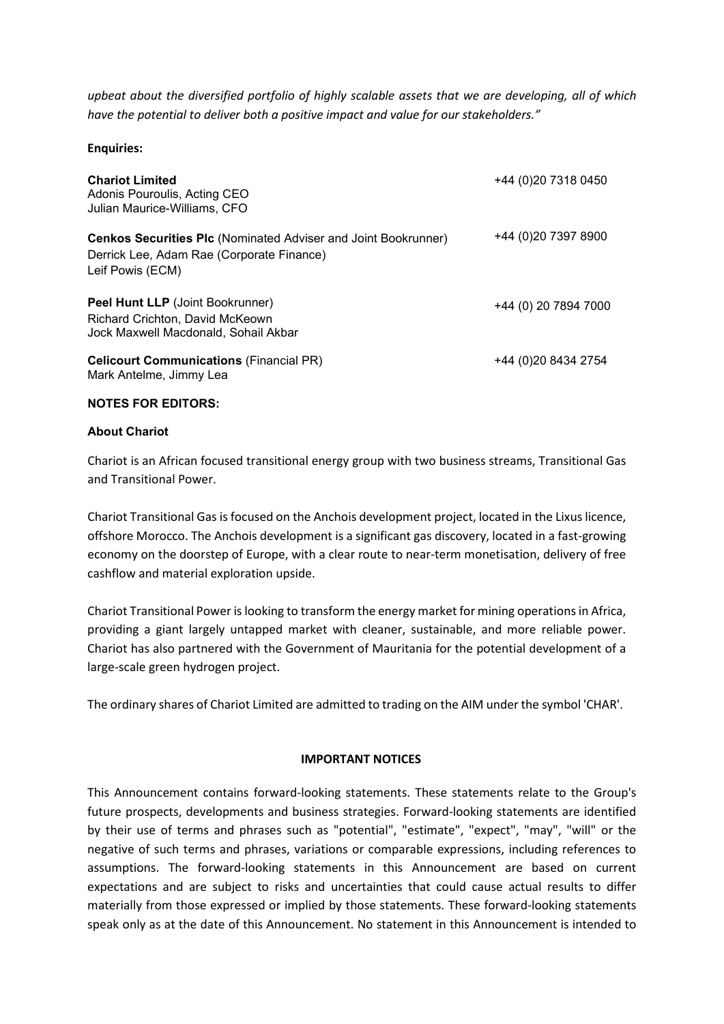*upbeat about the diversified portfolio of highly scalable assets that we are developing, all of which have the potential to deliver both a positive impact and value for our stakeholders."*

**Enquiries:**

| <b>Chariot Limited</b><br>Adonis Pouroulis, Acting CEO<br>Julian Maurice-Williams, CFO                                                 | +44 (0) 20 7318 0450 |
|----------------------------------------------------------------------------------------------------------------------------------------|----------------------|
| <b>Cenkos Securities PIc (Nominated Adviser and Joint Bookrunner)</b><br>Derrick Lee, Adam Rae (Corporate Finance)<br>Leif Powis (ECM) | +44 (0) 20 7397 8900 |
| <b>Peel Hunt LLP</b> (Joint Bookrunner)<br>Richard Crichton, David McKeown<br>Jock Maxwell Macdonald, Sohail Akbar                     | +44 (0) 20 7894 7000 |
| <b>Celicourt Communications (Financial PR)</b><br>Mark Antelme, Jimmy Lea                                                              | +44 (0) 20 8434 2754 |

#### **NOTES FOR EDITORS:**

#### **About Chariot**

Chariot is an African focused transitional energy group with two business streams, Transitional Gas and Transitional Power.

Chariot Transitional Gas is focused on the Anchois development project, located in the Lixus licence, offshore Morocco. The Anchois development is a significant gas discovery, located in a fast-growing economy on the doorstep of Europe, with a clear route to near-term monetisation, delivery of free cashflow and material exploration upside.

Chariot Transitional Power is looking to transform the energy market for mining operations in Africa, providing a giant largely untapped market with cleaner, sustainable, and more reliable power. Chariot has also partnered with the Government of Mauritania for the potential development of a large-scale green hydrogen project.

The ordinary shares of Chariot Limited are admitted to trading on the AIM under the symbol 'CHAR'.

#### **IMPORTANT NOTICES**

This Announcement contains forward-looking statements. These statements relate to the Group's future prospects, developments and business strategies. Forward-looking statements are identified by their use of terms and phrases such as "potential", "estimate", "expect", "may", "will" or the negative of such terms and phrases, variations or comparable expressions, including references to assumptions. The forward-looking statements in this Announcement are based on current expectations and are subject to risks and uncertainties that could cause actual results to differ materially from those expressed or implied by those statements. These forward-looking statements speak only as at the date of this Announcement. No statement in this Announcement is intended to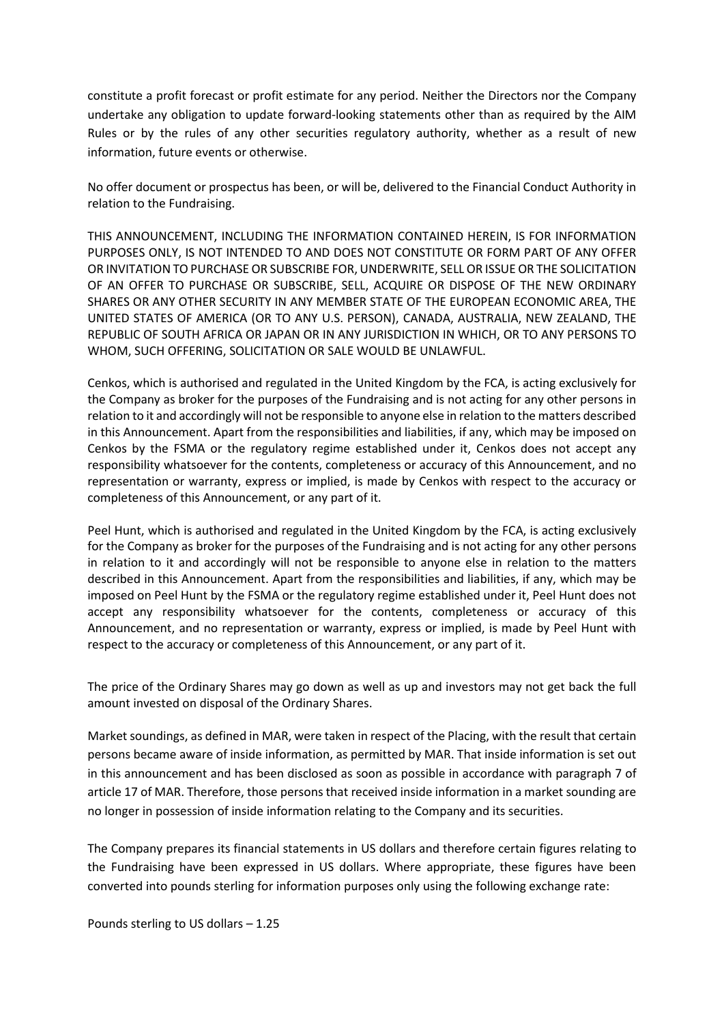constitute a profit forecast or profit estimate for any period. Neither the Directors nor the Company undertake any obligation to update forward-looking statements other than as required by the AIM Rules or by the rules of any other securities regulatory authority, whether as a result of new information, future events or otherwise.

No offer document or prospectus has been, or will be, delivered to the Financial Conduct Authority in relation to the Fundraising.

THIS ANNOUNCEMENT, INCLUDING THE INFORMATION CONTAINED HEREIN, IS FOR INFORMATION PURPOSES ONLY, IS NOT INTENDED TO AND DOES NOT CONSTITUTE OR FORM PART OF ANY OFFER OR INVITATION TO PURCHASE OR SUBSCRIBE FOR, UNDERWRITE, SELL OR ISSUE OR THE SOLICITATION OF AN OFFER TO PURCHASE OR SUBSCRIBE, SELL, ACQUIRE OR DISPOSE OF THE NEW ORDINARY SHARES OR ANY OTHER SECURITY IN ANY MEMBER STATE OF THE EUROPEAN ECONOMIC AREA, THE UNITED STATES OF AMERICA (OR TO ANY U.S. PERSON), CANADA, AUSTRALIA, NEW ZEALAND, THE REPUBLIC OF SOUTH AFRICA OR JAPAN OR IN ANY JURISDICTION IN WHICH, OR TO ANY PERSONS TO WHOM, SUCH OFFERING, SOLICITATION OR SALE WOULD BE UNLAWFUL.

Cenkos, which is authorised and regulated in the United Kingdom by the FCA, is acting exclusively for the Company as broker for the purposes of the Fundraising and is not acting for any other persons in relation to it and accordingly will not be responsible to anyone else in relation to the matters described in this Announcement. Apart from the responsibilities and liabilities, if any, which may be imposed on Cenkos by the FSMA or the regulatory regime established under it, Cenkos does not accept any responsibility whatsoever for the contents, completeness or accuracy of this Announcement, and no representation or warranty, express or implied, is made by Cenkos with respect to the accuracy or completeness of this Announcement, or any part of it.

Peel Hunt, which is authorised and regulated in the United Kingdom by the FCA, is acting exclusively for the Company as broker for the purposes of the Fundraising and is not acting for any other persons in relation to it and accordingly will not be responsible to anyone else in relation to the matters described in this Announcement. Apart from the responsibilities and liabilities, if any, which may be imposed on Peel Hunt by the FSMA or the regulatory regime established under it, Peel Hunt does not accept any responsibility whatsoever for the contents, completeness or accuracy of this Announcement, and no representation or warranty, express or implied, is made by Peel Hunt with respect to the accuracy or completeness of this Announcement, or any part of it.

The price of the Ordinary Shares may go down as well as up and investors may not get back the full amount invested on disposal of the Ordinary Shares.

Market soundings, as defined in MAR, were taken in respect of the Placing, with the result that certain persons became aware of inside information, as permitted by MAR. That inside information is set out in this announcement and has been disclosed as soon as possible in accordance with paragraph 7 of article 17 of MAR. Therefore, those persons that received inside information in a market sounding are no longer in possession of inside information relating to the Company and its securities.

The Company prepares its financial statements in US dollars and therefore certain figures relating to the Fundraising have been expressed in US dollars. Where appropriate, these figures have been converted into pounds sterling for information purposes only using the following exchange rate:

Pounds sterling to US dollars – 1.25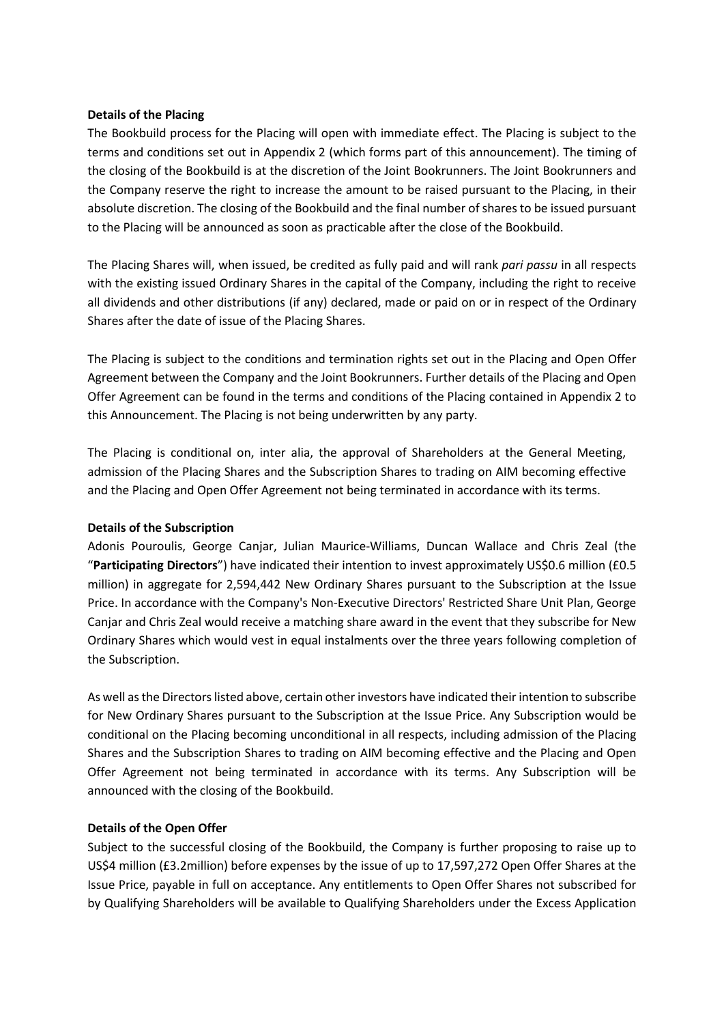#### **Details of the Placing**

The Bookbuild process for the Placing will open with immediate effect. The Placing is subject to the terms and conditions set out in Appendix 2 (which forms part of this announcement). The timing of the closing of the Bookbuild is at the discretion of the Joint Bookrunners. The Joint Bookrunners and the Company reserve the right to increase the amount to be raised pursuant to the Placing, in their absolute discretion. The closing of the Bookbuild and the final number of shares to be issued pursuant to the Placing will be announced as soon as practicable after the close of the Bookbuild.

The Placing Shares will, when issued, be credited as fully paid and will rank *pari passu* in all respects with the existing issued Ordinary Shares in the capital of the Company, including the right to receive all dividends and other distributions (if any) declared, made or paid on or in respect of the Ordinary Shares after the date of issue of the Placing Shares.

The Placing is subject to the conditions and termination rights set out in the Placing and Open Offer Agreement between the Company and the Joint Bookrunners. Further details of the Placing and Open Offer Agreement can be found in the terms and conditions of the Placing contained in Appendix 2 to this Announcement. The Placing is not being underwritten by any party.

The Placing is conditional on, inter alia, the approval of Shareholders at the General Meeting, admission of the Placing Shares and the Subscription Shares to trading on AIM becoming effective and the Placing and Open Offer Agreement not being terminated in accordance with its terms.

## **Details of the Subscription**

Adonis Pouroulis, George Canjar, Julian Maurice-Williams, Duncan Wallace and Chris Zeal (the "**Participating Directors**") have indicated their intention to invest approximately US\$0.6 million (£0.5 million) in aggregate for 2,594,442 New Ordinary Shares pursuant to the Subscription at the Issue Price. In accordance with the Company's Non-Executive Directors' Restricted Share Unit Plan, George Canjar and Chris Zeal would receive a matching share award in the event that they subscribe for New Ordinary Shares which would vest in equal instalments over the three years following completion of the Subscription.

As well as the Directors listed above, certain other investors have indicated their intention to subscribe for New Ordinary Shares pursuant to the Subscription at the Issue Price. Any Subscription would be conditional on the Placing becoming unconditional in all respects, including admission of the Placing Shares and the Subscription Shares to trading on AIM becoming effective and the Placing and Open Offer Agreement not being terminated in accordance with its terms. Any Subscription will be announced with the closing of the Bookbuild.

## **Details of the Open Offer**

Subject to the successful closing of the Bookbuild, the Company is further proposing to raise up to US\$4 million (£3.2million) before expenses by the issue of up to 17,597,272 Open Offer Shares at the Issue Price, payable in full on acceptance. Any entitlements to Open Offer Shares not subscribed for by Qualifying Shareholders will be available to Qualifying Shareholders under the Excess Application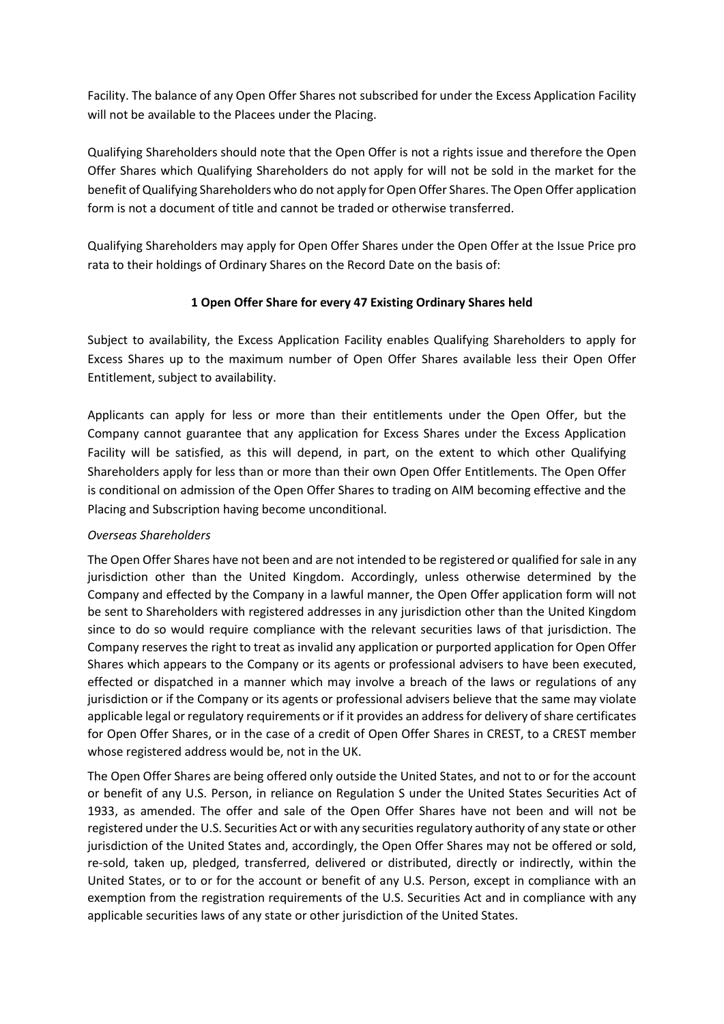Facility. The balance of any Open Offer Shares not subscribed for under the Excess Application Facility will not be available to the Placees under the Placing.

Qualifying Shareholders should note that the Open Offer is not a rights issue and therefore the Open Offer Shares which Qualifying Shareholders do not apply for will not be sold in the market for the benefit of Qualifying Shareholders who do not apply for Open Offer Shares. The Open Offer application form is not a document of title and cannot be traded or otherwise transferred.

Qualifying Shareholders may apply for Open Offer Shares under the Open Offer at the Issue Price pro rata to their holdings of Ordinary Shares on the Record Date on the basis of:

## **1 Open Offer Share for every 47 Existing Ordinary Shares held**

Subject to availability, the Excess Application Facility enables Qualifying Shareholders to apply for Excess Shares up to the maximum number of Open Offer Shares available less their Open Offer Entitlement, subject to availability.

Applicants can apply for less or more than their entitlements under the Open Offer, but the Company cannot guarantee that any application for Excess Shares under the Excess Application Facility will be satisfied, as this will depend, in part, on the extent to which other Qualifying Shareholders apply for less than or more than their own Open Offer Entitlements. The Open Offer is conditional on admission of the Open Offer Shares to trading on AIM becoming effective and the Placing and Subscription having become unconditional.

## *Overseas Shareholders*

The Open Offer Shares have not been and are not intended to be registered or qualified for sale in any jurisdiction other than the United Kingdom. Accordingly, unless otherwise determined by the Company and effected by the Company in a lawful manner, the Open Offer application form will not be sent to Shareholders with registered addresses in any jurisdiction other than the United Kingdom since to do so would require compliance with the relevant securities laws of that jurisdiction. The Company reserves the right to treat as invalid any application or purported application for Open Offer Shares which appears to the Company or its agents or professional advisers to have been executed, effected or dispatched in a manner which may involve a breach of the laws or regulations of any jurisdiction or if the Company or its agents or professional advisers believe that the same may violate applicable legal or regulatory requirements or if it provides an address for delivery of share certificates for Open Offer Shares, or in the case of a credit of Open Offer Shares in CREST, to a CREST member whose registered address would be, not in the UK.

The Open Offer Shares are being offered only outside the United States, and not to or for the account or benefit of any U.S. Person, in reliance on Regulation S under the United States Securities Act of 1933, as amended. The offer and sale of the Open Offer Shares have not been and will not be registered under the U.S. Securities Act or with any securities regulatory authority of any state or other jurisdiction of the United States and, accordingly, the Open Offer Shares may not be offered or sold, re-sold, taken up, pledged, transferred, delivered or distributed, directly or indirectly, within the United States, or to or for the account or benefit of any U.S. Person, except in compliance with an exemption from the registration requirements of the U.S. Securities Act and in compliance with any applicable securities laws of any state or other jurisdiction of the United States.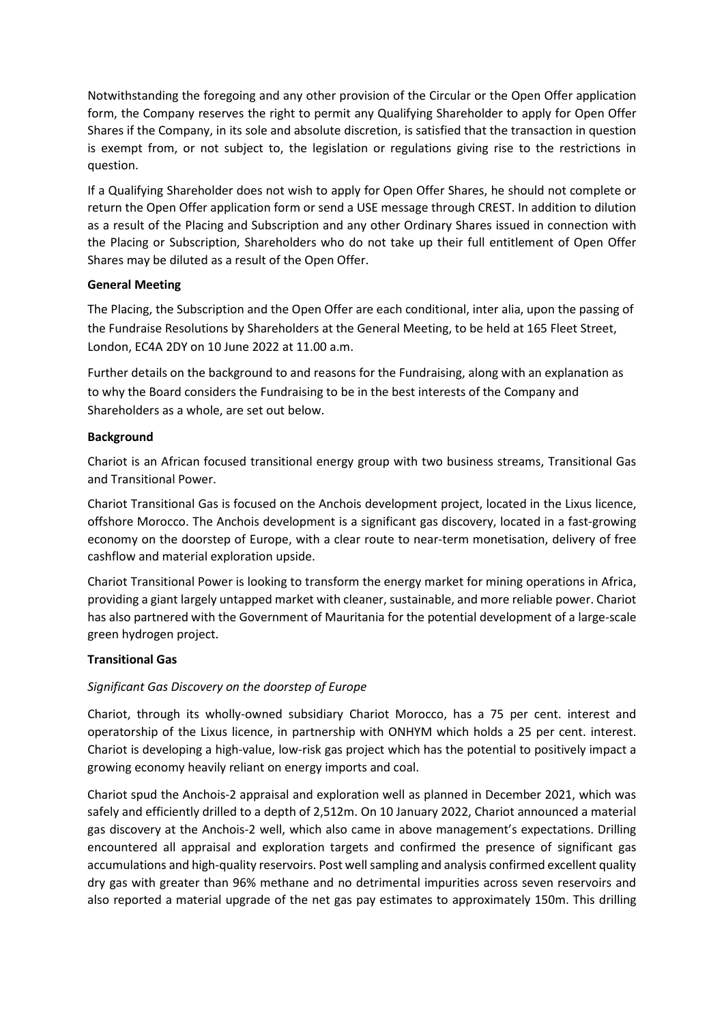Notwithstanding the foregoing and any other provision of the Circular or the Open Offer application form, the Company reserves the right to permit any Qualifying Shareholder to apply for Open Offer Shares if the Company, in its sole and absolute discretion, is satisfied that the transaction in question is exempt from, or not subject to, the legislation or regulations giving rise to the restrictions in question.

If a Qualifying Shareholder does not wish to apply for Open Offer Shares, he should not complete or return the Open Offer application form or send a USE message through CREST. In addition to dilution as a result of the Placing and Subscription and any other Ordinary Shares issued in connection with the Placing or Subscription, Shareholders who do not take up their full entitlement of Open Offer Shares may be diluted as a result of the Open Offer.

### **General Meeting**

The Placing, the Subscription and the Open Offer are each conditional, inter alia, upon the passing of the Fundraise Resolutions by Shareholders at the General Meeting, to be held at 165 Fleet Street, London, EC4A 2DY on 10 June 2022 at 11.00 a.m.

Further details on the background to and reasons for the Fundraising, along with an explanation as to why the Board considers the Fundraising to be in the best interests of the Company and Shareholders as a whole, are set out below.

### **Background**

Chariot is an African focused transitional energy group with two business streams, Transitional Gas and Transitional Power.

Chariot Transitional Gas is focused on the Anchois development project, located in the Lixus licence, offshore Morocco. The Anchois development is a significant gas discovery, located in a fast-growing economy on the doorstep of Europe, with a clear route to near-term monetisation, delivery of free cashflow and material exploration upside.

Chariot Transitional Power is looking to transform the energy market for mining operations in Africa, providing a giant largely untapped market with cleaner, sustainable, and more reliable power. Chariot has also partnered with the Government of Mauritania for the potential development of a large-scale green hydrogen project.

## **Transitional Gas**

## *Significant Gas Discovery on the doorstep of Europe*

Chariot, through its wholly-owned subsidiary Chariot Morocco, has a 75 per cent. interest and operatorship of the Lixus licence, in partnership with ONHYM which holds a 25 per cent. interest. Chariot is developing a high-value, low-risk gas project which has the potential to positively impact a growing economy heavily reliant on energy imports and coal.

Chariot spud the Anchois-2 appraisal and exploration well as planned in December 2021, which was safely and efficiently drilled to a depth of 2,512m. On 10 January 2022, Chariot announced a material gas discovery at the Anchois-2 well, which also came in above management's expectations. Drilling encountered all appraisal and exploration targets and confirmed the presence of significant gas accumulations and high-quality reservoirs. Post well sampling and analysis confirmed excellent quality dry gas with greater than 96% methane and no detrimental impurities across seven reservoirs and also reported a material upgrade of the net gas pay estimates to approximately 150m. This drilling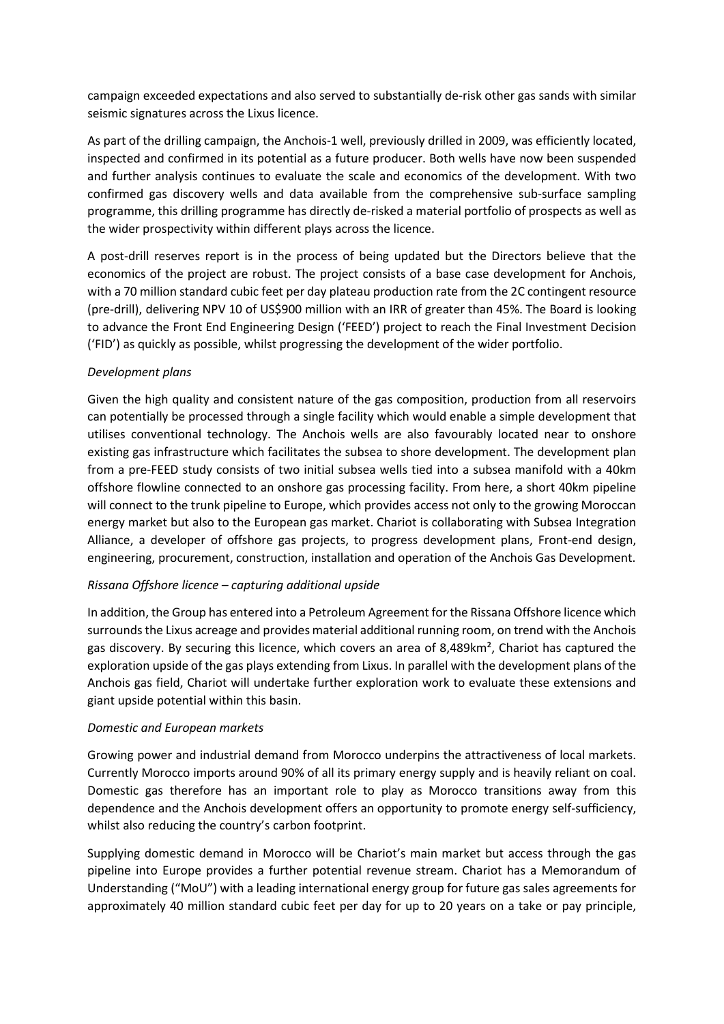campaign exceeded expectations and also served to substantially de-risk other gas sands with similar seismic signatures across the Lixus licence.

As part of the drilling campaign, the Anchois-1 well, previously drilled in 2009, was efficiently located, inspected and confirmed in its potential as a future producer. Both wells have now been suspended and further analysis continues to evaluate the scale and economics of the development. With two confirmed gas discovery wells and data available from the comprehensive sub-surface sampling programme, this drilling programme has directly de-risked a material portfolio of prospects as well as the wider prospectivity within different plays across the licence.

A post-drill reserves report is in the process of being updated but the Directors believe that the economics of the project are robust. The project consists of a base case development for Anchois, with a 70 million standard cubic feet per day plateau production rate from the 2C contingent resource (pre-drill), delivering NPV 10 of US\$900 million with an IRR of greater than 45%. The Board is looking to advance the Front End Engineering Design ('FEED') project to reach the Final Investment Decision ('FID') as quickly as possible, whilst progressing the development of the wider portfolio.

## *Development plans*

Given the high quality and consistent nature of the gas composition, production from all reservoirs can potentially be processed through a single facility which would enable a simple development that utilises conventional technology. The Anchois wells are also favourably located near to onshore existing gas infrastructure which facilitates the subsea to shore development. The development plan from a pre-FEED study consists of two initial subsea wells tied into a subsea manifold with a 40km offshore flowline connected to an onshore gas processing facility. From here, a short 40km pipeline will connect to the trunk pipeline to Europe, which provides access not only to the growing Moroccan energy market but also to the European gas market. Chariot is collaborating with Subsea Integration Alliance, a developer of offshore gas projects, to progress development plans, Front-end design, engineering, procurement, construction, installation and operation of the Anchois Gas Development.

#### *Rissana Offshore licence – capturing additional upside*

In addition, the Group has entered into a Petroleum Agreement for the Rissana Offshore licence which surrounds the Lixus acreage and provides material additional running room, on trend with the Anchois gas discovery. By securing this licence, which covers an area of 8,489km², Chariot has captured the exploration upside of the gas plays extending from Lixus. In parallel with the development plans of the Anchois gas field, Chariot will undertake further exploration work to evaluate these extensions and giant upside potential within this basin.

#### *Domestic and European markets*

Growing power and industrial demand from Morocco underpins the attractiveness of local markets. Currently Morocco imports around 90% of all its primary energy supply and is heavily reliant on coal. Domestic gas therefore has an important role to play as Morocco transitions away from this dependence and the Anchois development offers an opportunity to promote energy self-sufficiency, whilst also reducing the country's carbon footprint.

Supplying domestic demand in Morocco will be Chariot's main market but access through the gas pipeline into Europe provides a further potential revenue stream. Chariot has a Memorandum of Understanding ("MoU") with a leading international energy group for future gas sales agreements for approximately 40 million standard cubic feet per day for up to 20 years on a take or pay principle,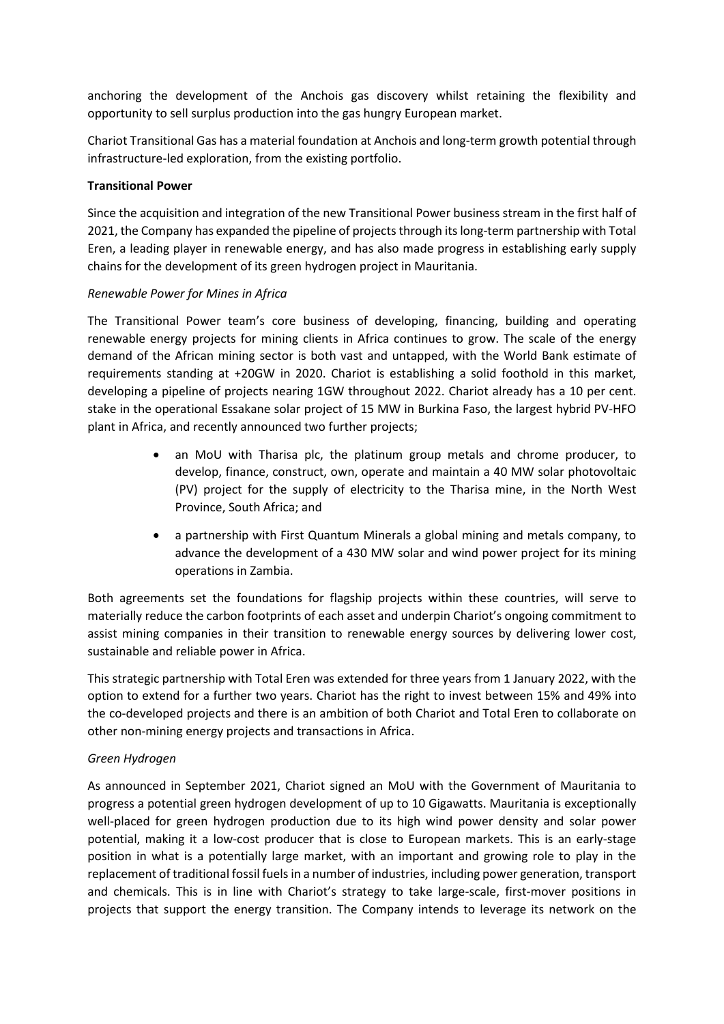anchoring the development of the Anchois gas discovery whilst retaining the flexibility and opportunity to sell surplus production into the gas hungry European market.

Chariot Transitional Gas has a material foundation at Anchois and long-term growth potential through infrastructure-led exploration, from the existing portfolio.

### **Transitional Power**

Since the acquisition and integration of the new Transitional Power business stream in the first half of 2021, the Company has expanded the pipeline of projects through its long-term partnership with Total Eren, a leading player in renewable energy, and has also made progress in establishing early supply chains for the development of its green hydrogen project in Mauritania.

### *Renewable Power for Mines in Africa*

The Transitional Power team's core business of developing, financing, building and operating renewable energy projects for mining clients in Africa continues to grow. The scale of the energy demand of the African mining sector is both vast and untapped, with the World Bank estimate of requirements standing at +20GW in 2020. Chariot is establishing a solid foothold in this market, developing a pipeline of projects nearing 1GW throughout 2022. Chariot already has a 10 per cent. stake in the operational Essakane solar project of 15 MW in Burkina Faso, the largest hybrid PV-HFO plant in Africa, and recently announced two further projects;

- an MoU with Tharisa plc, the platinum group metals and chrome producer, to develop, finance, construct, own, operate and maintain a 40 MW solar photovoltaic (PV) project for the supply of electricity to the Tharisa mine, in the North West Province, South Africa; and
- a partnership with First Quantum Minerals a global mining and metals company, to advance the development of a 430 MW solar and wind power project for its mining operations in Zambia.

Both agreements set the foundations for flagship projects within these countries, will serve to materially reduce the carbon footprints of each asset and underpin Chariot's ongoing commitment to assist mining companies in their transition to renewable energy sources by delivering lower cost, sustainable and reliable power in Africa.

This strategic partnership with Total Eren was extended for three years from 1 January 2022, with the option to extend for a further two years. Chariot has the right to invest between 15% and 49% into the co-developed projects and there is an ambition of both Chariot and Total Eren to collaborate on other non-mining energy projects and transactions in Africa.

## *Green Hydrogen*

As announced in September 2021, Chariot signed an MoU with the Government of Mauritania to progress a potential green hydrogen development of up to 10 Gigawatts. Mauritania is exceptionally well-placed for green hydrogen production due to its high wind power density and solar power potential, making it a low-cost producer that is close to European markets. This is an early-stage position in what is a potentially large market, with an important and growing role to play in the replacement of traditional fossil fuels in a number of industries, including power generation, transport and chemicals. This is in line with Chariot's strategy to take large-scale, first-mover positions in projects that support the energy transition. The Company intends to leverage its network on the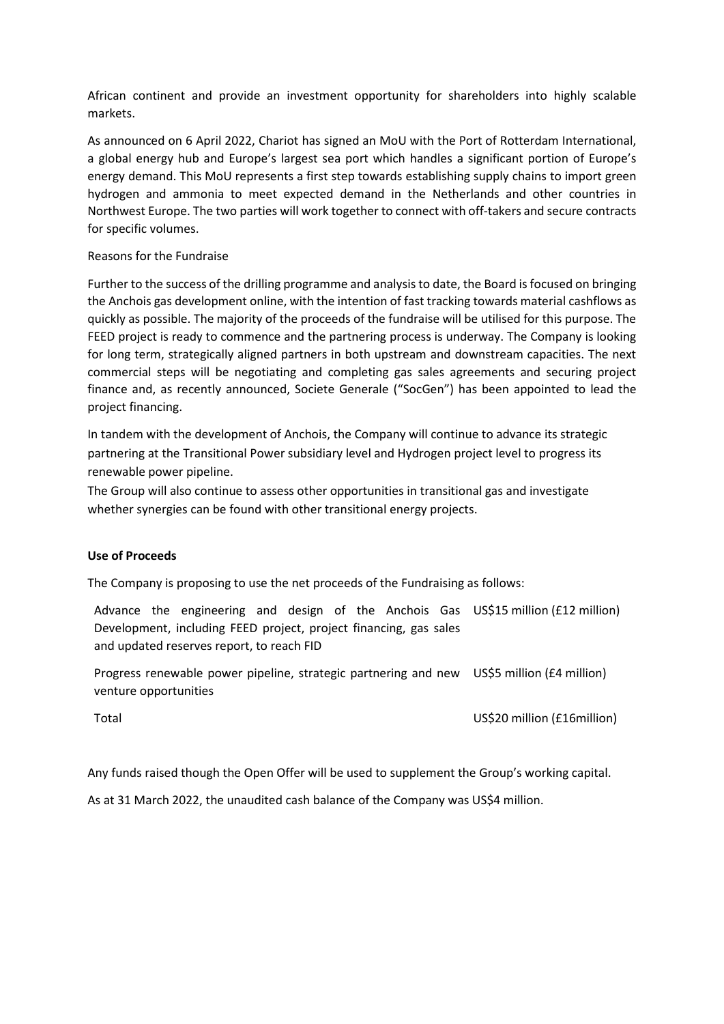African continent and provide an investment opportunity for shareholders into highly scalable markets.

As announced on 6 April 2022, Chariot has signed an MoU with the Port of Rotterdam International, a global energy hub and Europe's largest sea port which handles a significant portion of Europe's energy demand. This MoU represents a first step towards establishing supply chains to import green hydrogen and ammonia to meet expected demand in the Netherlands and other countries in Northwest Europe. The two parties will work together to connect with off-takers and secure contracts for specific volumes.

#### Reasons for the Fundraise

Further to the success of the drilling programme and analysis to date, the Board is focused on bringing the Anchois gas development online, with the intention of fast tracking towards material cashflows as quickly as possible. The majority of the proceeds of the fundraise will be utilised for this purpose. The FEED project is ready to commence and the partnering process is underway. The Company is looking for long term, strategically aligned partners in both upstream and downstream capacities. The next commercial steps will be negotiating and completing gas sales agreements and securing project finance and, as recently announced, Societe Generale ("SocGen") has been appointed to lead the project financing.

In tandem with the development of Anchois, the Company will continue to advance its strategic partnering at the Transitional Power subsidiary level and Hydrogen project level to progress its renewable power pipeline.

The Group will also continue to assess other opportunities in transitional gas and investigate whether synergies can be found with other transitional energy projects.

#### **Use of Proceeds**

The Company is proposing to use the net proceeds of the Fundraising as follows:

Advance the engineering and design of the Anchois Gas US\$15 million (£12 million) Development, including FEED project, project financing, gas sales and updated reserves report, to reach FID

Progress renewable power pipeline, strategic partnering and new US\$5 million (£4 million) venture opportunities

Total US\$20 million (£16million)

Any funds raised though the Open Offer will be used to supplement the Group's working capital.

As at 31 March 2022, the unaudited cash balance of the Company was US\$4 million.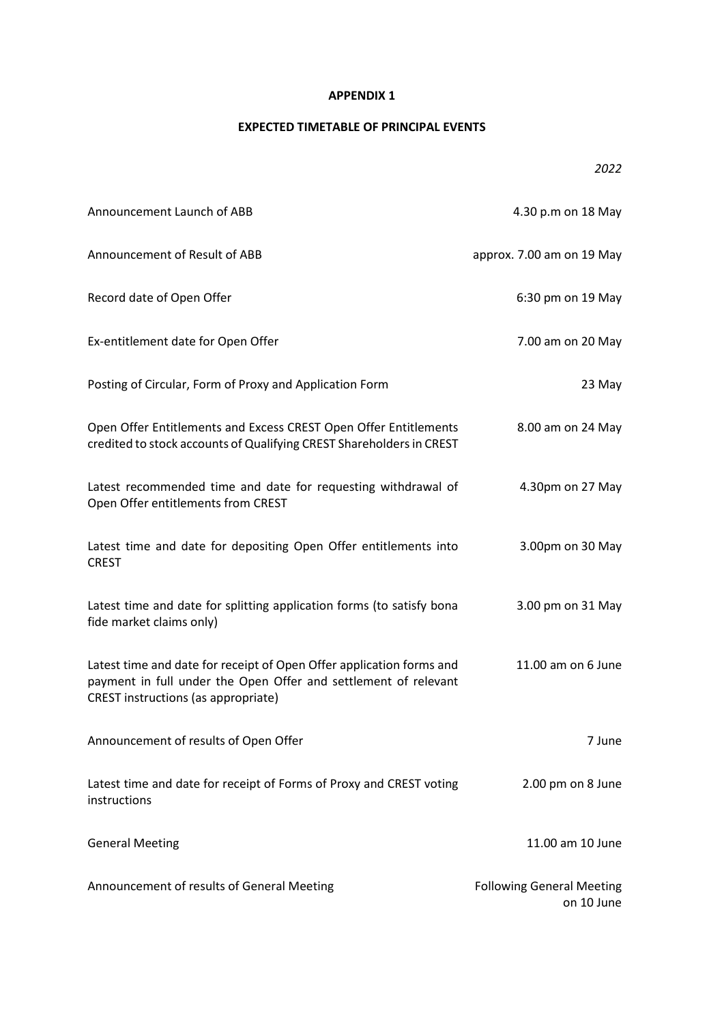### **APPENDIX 1**

# **EXPECTED TIMETABLE OF PRINCIPAL EVENTS**

*2022*

| Announcement Launch of ABB                                                                                                                                                     | 4.30 p.m on 18 May                             |
|--------------------------------------------------------------------------------------------------------------------------------------------------------------------------------|------------------------------------------------|
| Announcement of Result of ABB                                                                                                                                                  | approx. 7.00 am on 19 May                      |
| Record date of Open Offer                                                                                                                                                      | 6:30 pm on 19 May                              |
| Ex-entitlement date for Open Offer                                                                                                                                             | 7.00 am on 20 May                              |
| Posting of Circular, Form of Proxy and Application Form                                                                                                                        | 23 May                                         |
| Open Offer Entitlements and Excess CREST Open Offer Entitlements<br>credited to stock accounts of Qualifying CREST Shareholders in CREST                                       | 8.00 am on 24 May                              |
| Latest recommended time and date for requesting withdrawal of<br>Open Offer entitlements from CREST                                                                            | 4.30pm on 27 May                               |
| Latest time and date for depositing Open Offer entitlements into<br><b>CREST</b>                                                                                               | 3.00pm on 30 May                               |
| Latest time and date for splitting application forms (to satisfy bona<br>fide market claims only)                                                                              | 3.00 pm on 31 May                              |
| Latest time and date for receipt of Open Offer application forms and<br>payment in full under the Open Offer and settlement of relevant<br>CREST instructions (as appropriate) | 11.00 am on 6 June                             |
| Announcement of results of Open Offer                                                                                                                                          | 7 June                                         |
| Latest time and date for receipt of Forms of Proxy and CREST voting<br>instructions                                                                                            | 2.00 pm on 8 June                              |
| <b>General Meeting</b>                                                                                                                                                         | 11.00 am 10 June                               |
| Announcement of results of General Meeting                                                                                                                                     | <b>Following General Meeting</b><br>on 10 June |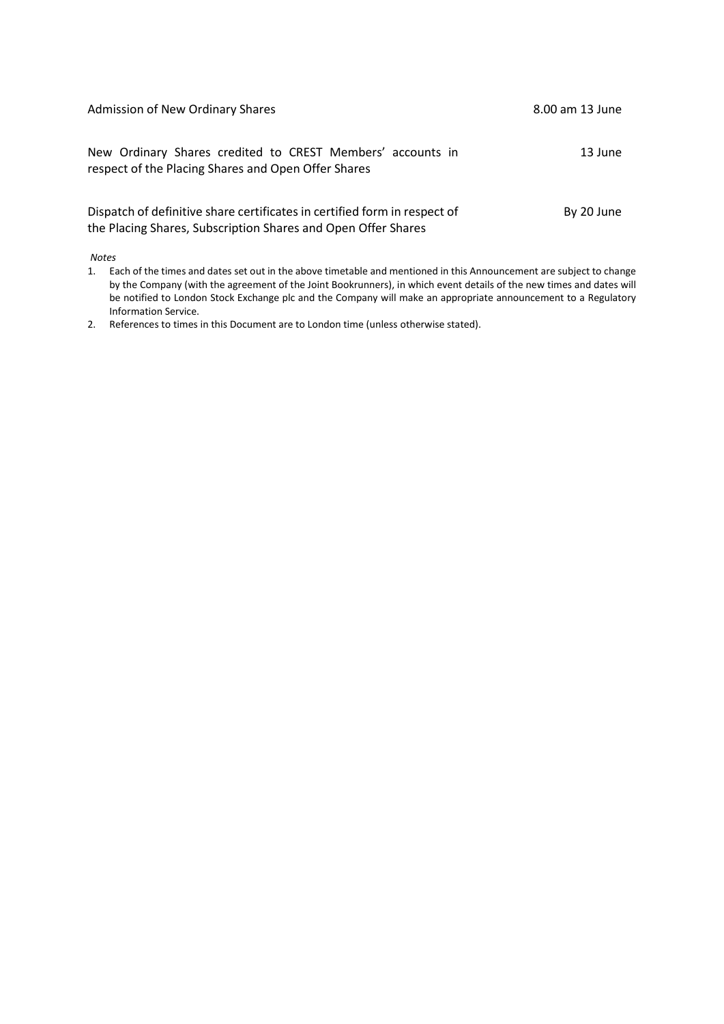| Admission of New Ordinary Shares                                                                                                           | 8.00 am 13 June |
|--------------------------------------------------------------------------------------------------------------------------------------------|-----------------|
| New Ordinary Shares credited to CREST Members' accounts in<br>respect of the Placing Shares and Open Offer Shares                          | 13 June         |
| Dispatch of definitive share certificates in certified form in respect of<br>the Placing Shares, Subscription Shares and Open Offer Shares | By 20 June      |

*Notes*

1. Each of the times and dates set out in the above timetable and mentioned in this Announcement are subject to change by the Company (with the agreement of the Joint Bookrunners), in which event details of the new times and dates will be notified to London Stock Exchange plc and the Company will make an appropriate announcement to a Regulatory Information Service.

2. References to times in this Document are to London time (unless otherwise stated).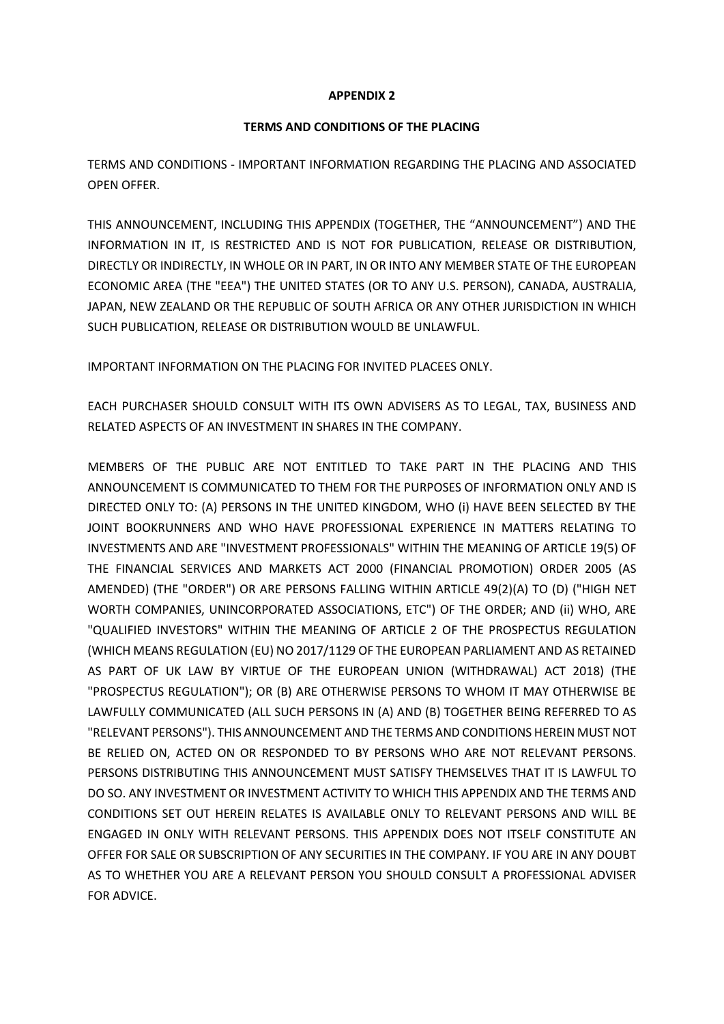#### **APPENDIX 2**

#### **TERMS AND CONDITIONS OF THE PLACING**

TERMS AND CONDITIONS - IMPORTANT INFORMATION REGARDING THE PLACING AND ASSOCIATED OPEN OFFER.

THIS ANNOUNCEMENT, INCLUDING THIS APPENDIX (TOGETHER, THE "ANNOUNCEMENT") AND THE INFORMATION IN IT, IS RESTRICTED AND IS NOT FOR PUBLICATION, RELEASE OR DISTRIBUTION, DIRECTLY OR INDIRECTLY, IN WHOLE OR IN PART, IN OR INTO ANY MEMBER STATE OF THE EUROPEAN ECONOMIC AREA (THE "EEA") THE UNITED STATES (OR TO ANY U.S. PERSON), CANADA, AUSTRALIA, JAPAN, NEW ZEALAND OR THE REPUBLIC OF SOUTH AFRICA OR ANY OTHER JURISDICTION IN WHICH SUCH PUBLICATION, RELEASE OR DISTRIBUTION WOULD BE UNLAWFUL.

IMPORTANT INFORMATION ON THE PLACING FOR INVITED PLACEES ONLY.

EACH PURCHASER SHOULD CONSULT WITH ITS OWN ADVISERS AS TO LEGAL, TAX, BUSINESS AND RELATED ASPECTS OF AN INVESTMENT IN SHARES IN THE COMPANY.

MEMBERS OF THE PUBLIC ARE NOT ENTITLED TO TAKE PART IN THE PLACING AND THIS ANNOUNCEMENT IS COMMUNICATED TO THEM FOR THE PURPOSES OF INFORMATION ONLY AND IS DIRECTED ONLY TO: (A) PERSONS IN THE UNITED KINGDOM, WHO (i) HAVE BEEN SELECTED BY THE JOINT BOOKRUNNERS AND WHO HAVE PROFESSIONAL EXPERIENCE IN MATTERS RELATING TO INVESTMENTS AND ARE "INVESTMENT PROFESSIONALS" WITHIN THE MEANING OF ARTICLE 19(5) OF THE FINANCIAL SERVICES AND MARKETS ACT 2000 (FINANCIAL PROMOTION) ORDER 2005 (AS AMENDED) (THE "ORDER") OR ARE PERSONS FALLING WITHIN ARTICLE 49(2)(A) TO (D) ("HIGH NET WORTH COMPANIES, UNINCORPORATED ASSOCIATIONS, ETC") OF THE ORDER; AND (ii) WHO, ARE "QUALIFIED INVESTORS" WITHIN THE MEANING OF ARTICLE 2 OF THE PROSPECTUS REGULATION (WHICH MEANS REGULATION (EU) NO 2017/1129 OF THE EUROPEAN PARLIAMENT AND AS RETAINED AS PART OF UK LAW BY VIRTUE OF THE EUROPEAN UNION (WITHDRAWAL) ACT 2018) (THE "PROSPECTUS REGULATION"); OR (B) ARE OTHERWISE PERSONS TO WHOM IT MAY OTHERWISE BE LAWFULLY COMMUNICATED (ALL SUCH PERSONS IN (A) AND (B) TOGETHER BEING REFERRED TO AS "RELEVANT PERSONS"). THIS ANNOUNCEMENT AND THE TERMS AND CONDITIONS HEREIN MUST NOT BE RELIED ON, ACTED ON OR RESPONDED TO BY PERSONS WHO ARE NOT RELEVANT PERSONS. PERSONS DISTRIBUTING THIS ANNOUNCEMENT MUST SATISFY THEMSELVES THAT IT IS LAWFUL TO DO SO. ANY INVESTMENT OR INVESTMENT ACTIVITY TO WHICH THIS APPENDIX AND THE TERMS AND CONDITIONS SET OUT HEREIN RELATES IS AVAILABLE ONLY TO RELEVANT PERSONS AND WILL BE ENGAGED IN ONLY WITH RELEVANT PERSONS. THIS APPENDIX DOES NOT ITSELF CONSTITUTE AN OFFER FOR SALE OR SUBSCRIPTION OF ANY SECURITIES IN THE COMPANY. IF YOU ARE IN ANY DOUBT AS TO WHETHER YOU ARE A RELEVANT PERSON YOU SHOULD CONSULT A PROFESSIONAL ADVISER FOR ADVICE.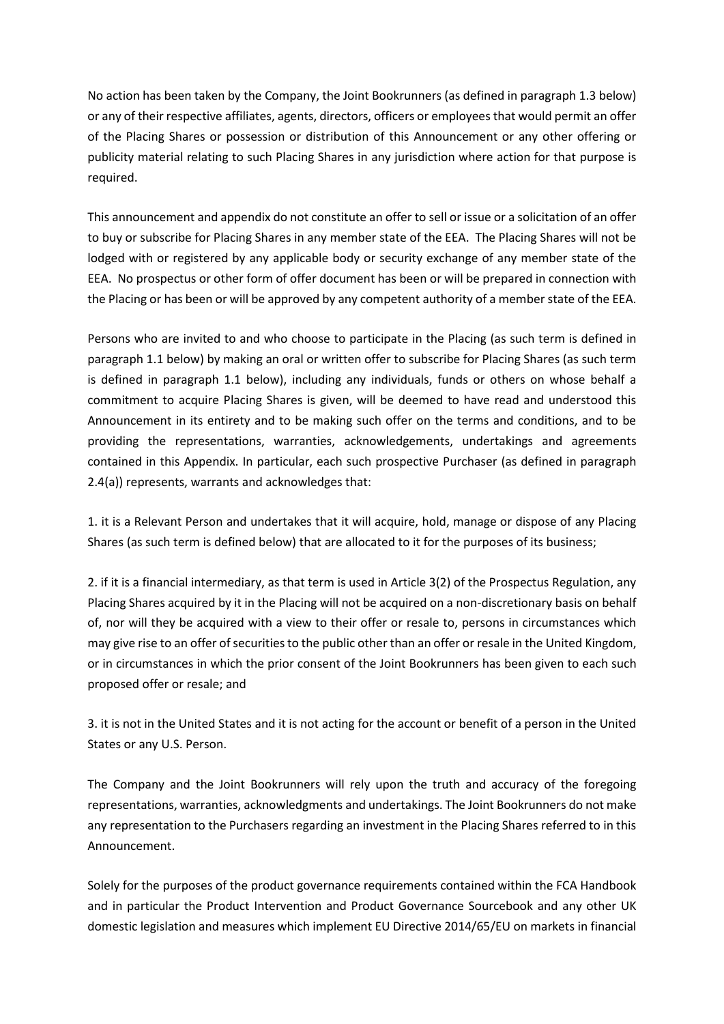No action has been taken by the Company, the Joint Bookrunners (as defined in paragraph 1.3 below) or any of their respective affiliates, agents, directors, officers or employees that would permit an offer of the Placing Shares or possession or distribution of this Announcement or any other offering or publicity material relating to such Placing Shares in any jurisdiction where action for that purpose is required.

This announcement and appendix do not constitute an offer to sell or issue or a solicitation of an offer to buy or subscribe for Placing Shares in any member state of the EEA. The Placing Shares will not be lodged with or registered by any applicable body or security exchange of any member state of the EEA. No prospectus or other form of offer document has been or will be prepared in connection with the Placing or has been or will be approved by any competent authority of a member state of the EEA.

Persons who are invited to and who choose to participate in the Placing (as such term is defined in paragraph 1.1 below) by making an oral or written offer to subscribe for Placing Shares (as such term is defined in paragraph 1.1 below), including any individuals, funds or others on whose behalf a commitment to acquire Placing Shares is given, will be deemed to have read and understood this Announcement in its entirety and to be making such offer on the terms and conditions, and to be providing the representations, warranties, acknowledgements, undertakings and agreements contained in this Appendix. In particular, each such prospective Purchaser (as defined in paragraph 2.4(a)) represents, warrants and acknowledges that:

1. it is a Relevant Person and undertakes that it will acquire, hold, manage or dispose of any Placing Shares (as such term is defined below) that are allocated to it for the purposes of its business;

2. if it is a financial intermediary, as that term is used in Article 3(2) of the Prospectus Regulation, any Placing Shares acquired by it in the Placing will not be acquired on a non-discretionary basis on behalf of, nor will they be acquired with a view to their offer or resale to, persons in circumstances which may give rise to an offer of securities to the public other than an offer or resale in the United Kingdom, or in circumstances in which the prior consent of the Joint Bookrunners has been given to each such proposed offer or resale; and

3. it is not in the United States and it is not acting for the account or benefit of a person in the United States or any U.S. Person.

The Company and the Joint Bookrunners will rely upon the truth and accuracy of the foregoing representations, warranties, acknowledgments and undertakings. The Joint Bookrunners do not make any representation to the Purchasers regarding an investment in the Placing Shares referred to in this Announcement.

Solely for the purposes of the product governance requirements contained within the FCA Handbook and in particular the Product Intervention and Product Governance Sourcebook and any other UK domestic legislation and measures which implement EU Directive 2014/65/EU on markets in financial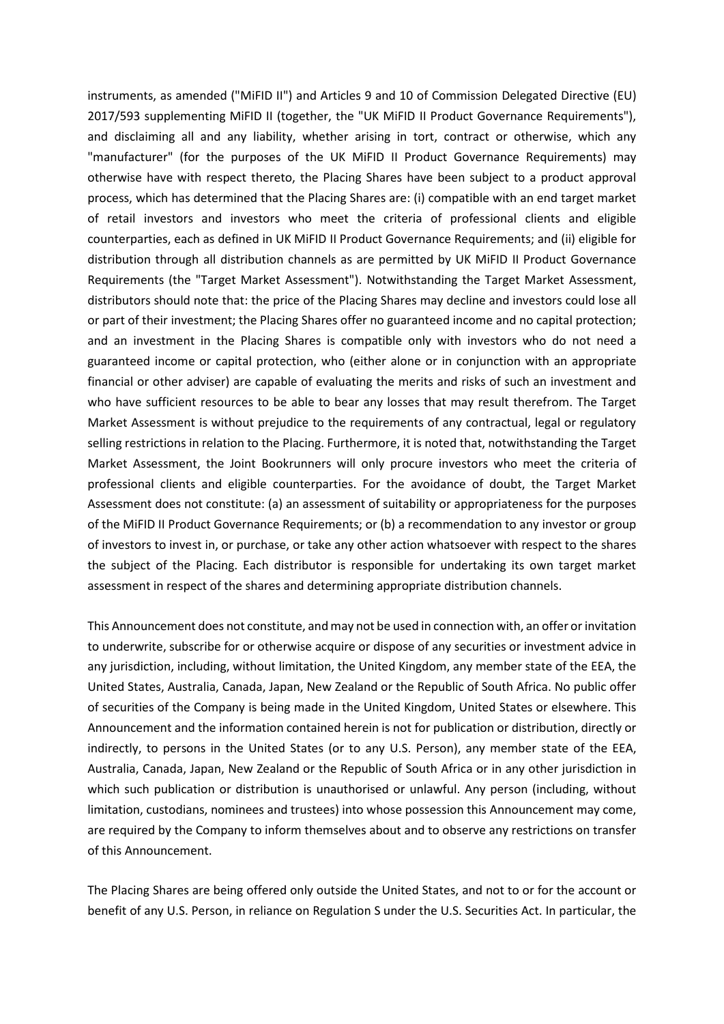instruments, as amended ("MiFID II") and Articles 9 and 10 of Commission Delegated Directive (EU) 2017/593 supplementing MiFID II (together, the "UK MiFID II Product Governance Requirements"), and disclaiming all and any liability, whether arising in tort, contract or otherwise, which any "manufacturer" (for the purposes of the UK MiFID II Product Governance Requirements) may otherwise have with respect thereto, the Placing Shares have been subject to a product approval process, which has determined that the Placing Shares are: (i) compatible with an end target market of retail investors and investors who meet the criteria of professional clients and eligible counterparties, each as defined in UK MiFID II Product Governance Requirements; and (ii) eligible for distribution through all distribution channels as are permitted by UK MiFID II Product Governance Requirements (the "Target Market Assessment"). Notwithstanding the Target Market Assessment, distributors should note that: the price of the Placing Shares may decline and investors could lose all or part of their investment; the Placing Shares offer no guaranteed income and no capital protection; and an investment in the Placing Shares is compatible only with investors who do not need a guaranteed income or capital protection, who (either alone or in conjunction with an appropriate financial or other adviser) are capable of evaluating the merits and risks of such an investment and who have sufficient resources to be able to bear any losses that may result therefrom. The Target Market Assessment is without prejudice to the requirements of any contractual, legal or regulatory selling restrictions in relation to the Placing. Furthermore, it is noted that, notwithstanding the Target Market Assessment, the Joint Bookrunners will only procure investors who meet the criteria of professional clients and eligible counterparties. For the avoidance of doubt, the Target Market Assessment does not constitute: (a) an assessment of suitability or appropriateness for the purposes of the MiFID II Product Governance Requirements; or (b) a recommendation to any investor or group of investors to invest in, or purchase, or take any other action whatsoever with respect to the shares the subject of the Placing. Each distributor is responsible for undertaking its own target market assessment in respect of the shares and determining appropriate distribution channels.

This Announcement does not constitute, and may not be used in connection with, an offer or invitation to underwrite, subscribe for or otherwise acquire or dispose of any securities or investment advice in any jurisdiction, including, without limitation, the United Kingdom, any member state of the EEA, the United States, Australia, Canada, Japan, New Zealand or the Republic of South Africa. No public offer of securities of the Company is being made in the United Kingdom, United States or elsewhere. This Announcement and the information contained herein is not for publication or distribution, directly or indirectly, to persons in the United States (or to any U.S. Person), any member state of the EEA, Australia, Canada, Japan, New Zealand or the Republic of South Africa or in any other jurisdiction in which such publication or distribution is unauthorised or unlawful. Any person (including, without limitation, custodians, nominees and trustees) into whose possession this Announcement may come, are required by the Company to inform themselves about and to observe any restrictions on transfer of this Announcement.

The Placing Shares are being offered only outside the United States, and not to or for the account or benefit of any U.S. Person, in reliance on Regulation S under the U.S. Securities Act. In particular, the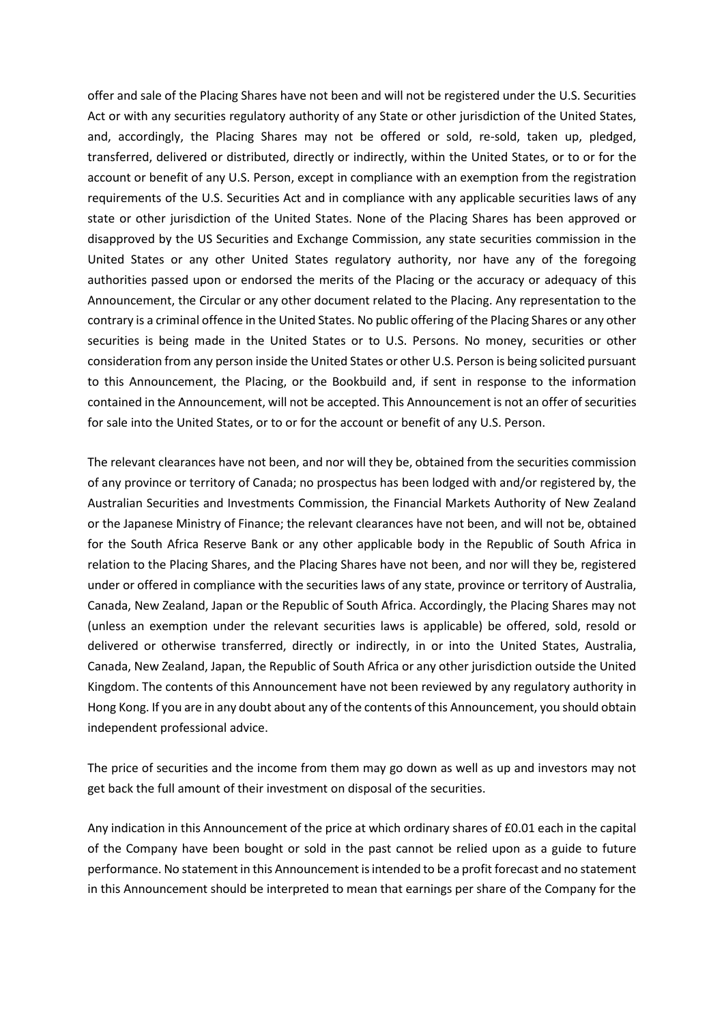offer and sale of the Placing Shares have not been and will not be registered under the U.S. Securities Act or with any securities regulatory authority of any State or other jurisdiction of the United States, and, accordingly, the Placing Shares may not be offered or sold, re-sold, taken up, pledged, transferred, delivered or distributed, directly or indirectly, within the United States, or to or for the account or benefit of any U.S. Person, except in compliance with an exemption from the registration requirements of the U.S. Securities Act and in compliance with any applicable securities laws of any state or other jurisdiction of the United States. None of the Placing Shares has been approved or disapproved by the US Securities and Exchange Commission, any state securities commission in the United States or any other United States regulatory authority, nor have any of the foregoing authorities passed upon or endorsed the merits of the Placing or the accuracy or adequacy of this Announcement, the Circular or any other document related to the Placing. Any representation to the contrary is a criminal offence in the United States. No public offering of the Placing Shares or any other securities is being made in the United States or to U.S. Persons. No money, securities or other consideration from any person inside the United States or other U.S. Person is being solicited pursuant to this Announcement, the Placing, or the Bookbuild and, if sent in response to the information contained in the Announcement, will not be accepted. This Announcement is not an offer of securities for sale into the United States, or to or for the account or benefit of any U.S. Person.

The relevant clearances have not been, and nor will they be, obtained from the securities commission of any province or territory of Canada; no prospectus has been lodged with and/or registered by, the Australian Securities and Investments Commission, the Financial Markets Authority of New Zealand or the Japanese Ministry of Finance; the relevant clearances have not been, and will not be, obtained for the South Africa Reserve Bank or any other applicable body in the Republic of South Africa in relation to the Placing Shares, and the Placing Shares have not been, and nor will they be, registered under or offered in compliance with the securities laws of any state, province or territory of Australia, Canada, New Zealand, Japan or the Republic of South Africa. Accordingly, the Placing Shares may not (unless an exemption under the relevant securities laws is applicable) be offered, sold, resold or delivered or otherwise transferred, directly or indirectly, in or into the United States, Australia, Canada, New Zealand, Japan, the Republic of South Africa or any other jurisdiction outside the United Kingdom. The contents of this Announcement have not been reviewed by any regulatory authority in Hong Kong. If you are in any doubt about any of the contents of this Announcement, you should obtain independent professional advice.

The price of securities and the income from them may go down as well as up and investors may not get back the full amount of their investment on disposal of the securities.

Any indication in this Announcement of the price at which ordinary shares of £0.01 each in the capital of the Company have been bought or sold in the past cannot be relied upon as a guide to future performance. No statement in this Announcement is intended to be a profit forecast and no statement in this Announcement should be interpreted to mean that earnings per share of the Company for the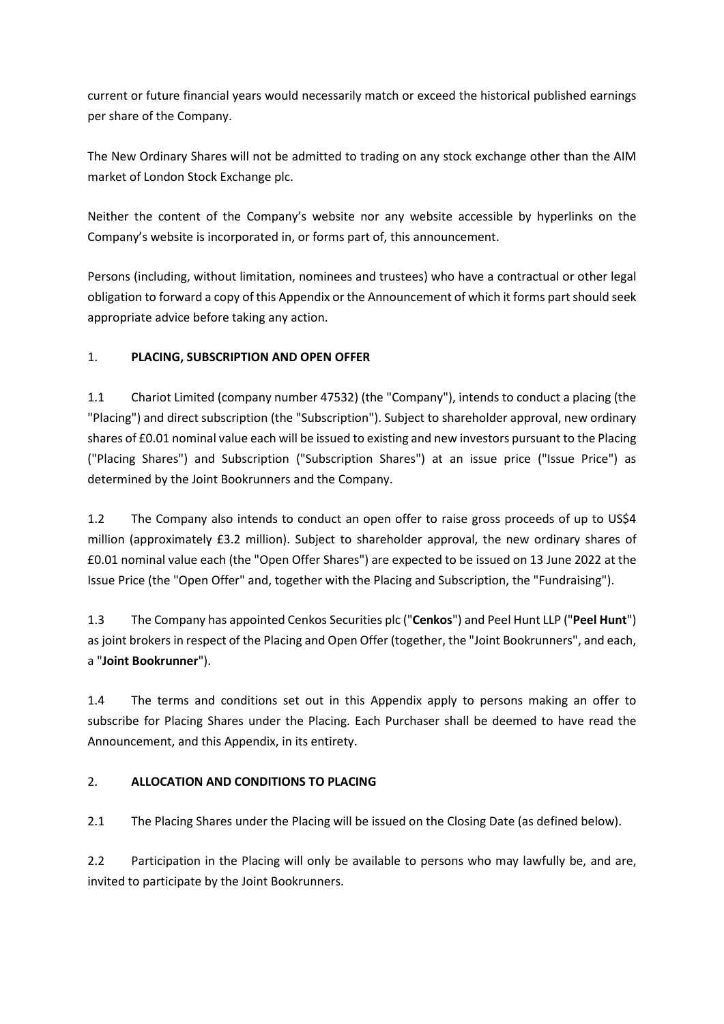current or future financial years would necessarily match or exceed the historical published earnings per share of the Company.

The New Ordinary Shares will not be admitted to trading on any stock exchange other than the AIM market of London Stock Exchange plc.

Neither the content of the Company's website nor any website accessible by hyperlinks on the Company's website is incorporated in, or forms part of, this announcement.

Persons (including, without limitation, nominees and trustees) who have a contractual or other legal obligation to forward a copy of this Appendix or the Announcement of which it forms part should seek appropriate advice before taking any action.

# 1. **PLACING, SUBSCRIPTION AND OPEN OFFER**

1.1 Chariot Limited (company number 47532) (the "Company"), intends to conduct a placing (the "Placing") and direct subscription (the "Subscription"). Subject to shareholder approval, new ordinary shares of £0.01 nominal value each will be issued to existing and new investors pursuant to the Placing ("Placing Shares") and Subscription ("Subscription Shares") at an issue price ("Issue Price") as determined by the Joint Bookrunners and the Company.

1.2 The Company also intends to conduct an open offer to raise gross proceeds of up to US\$4 million (approximately £3.2 million). Subject to shareholder approval, the new ordinary shares of £0.01 nominal value each (the "Open Offer Shares") are expected to be issued on 13 June 2022 at the Issue Price (the "Open Offer" and, together with the Placing and Subscription, the "Fundraising").

1.3 The Company has appointed Cenkos Securities plc ("**Cenkos**") and Peel Hunt LLP ("**Peel Hunt**") as joint brokers in respect of the Placing and Open Offer (together, the "Joint Bookrunners", and each, a "**Joint Bookrunner**").

1.4 The terms and conditions set out in this Appendix apply to persons making an offer to subscribe for Placing Shares under the Placing. Each Purchaser shall be deemed to have read the Announcement, and this Appendix, in its entirety.

# 2. **ALLOCATION AND CONDITIONS TO PLACING**

2.1 The Placing Shares under the Placing will be issued on the Closing Date (as defined below).

2.2 Participation in the Placing will only be available to persons who may lawfully be, and are, invited to participate by the Joint Bookrunners.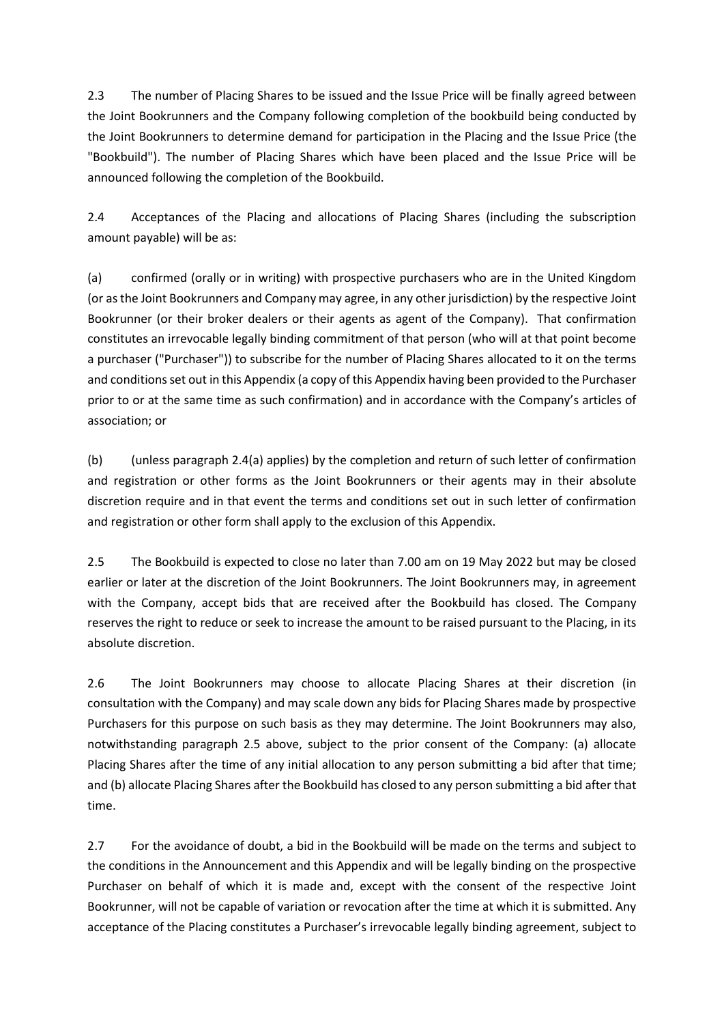2.3 The number of Placing Shares to be issued and the Issue Price will be finally agreed between the Joint Bookrunners and the Company following completion of the bookbuild being conducted by the Joint Bookrunners to determine demand for participation in the Placing and the Issue Price (the "Bookbuild"). The number of Placing Shares which have been placed and the Issue Price will be announced following the completion of the Bookbuild.

2.4 Acceptances of the Placing and allocations of Placing Shares (including the subscription amount payable) will be as:

(a) confirmed (orally or in writing) with prospective purchasers who are in the United Kingdom (or as the Joint Bookrunners and Company may agree, in any other jurisdiction) by the respective Joint Bookrunner (or their broker dealers or their agents as agent of the Company). That confirmation constitutes an irrevocable legally binding commitment of that person (who will at that point become a purchaser ("Purchaser")) to subscribe for the number of Placing Shares allocated to it on the terms and conditions set out in this Appendix (a copy of this Appendix having been provided to the Purchaser prior to or at the same time as such confirmation) and in accordance with the Company's articles of association; or

(b) (unless paragraph 2.4(a) applies) by the completion and return of such letter of confirmation and registration or other forms as the Joint Bookrunners or their agents may in their absolute discretion require and in that event the terms and conditions set out in such letter of confirmation and registration or other form shall apply to the exclusion of this Appendix.

2.5 The Bookbuild is expected to close no later than 7.00 am on 19 May 2022 but may be closed earlier or later at the discretion of the Joint Bookrunners. The Joint Bookrunners may, in agreement with the Company, accept bids that are received after the Bookbuild has closed. The Company reserves the right to reduce or seek to increase the amount to be raised pursuant to the Placing, in its absolute discretion.

2.6 The Joint Bookrunners may choose to allocate Placing Shares at their discretion (in consultation with the Company) and may scale down any bids for Placing Shares made by prospective Purchasers for this purpose on such basis as they may determine. The Joint Bookrunners may also, notwithstanding paragraph 2.5 above, subject to the prior consent of the Company: (a) allocate Placing Shares after the time of any initial allocation to any person submitting a bid after that time; and (b) allocate Placing Shares after the Bookbuild has closed to any person submitting a bid after that time.

2.7 For the avoidance of doubt, a bid in the Bookbuild will be made on the terms and subject to the conditions in the Announcement and this Appendix and will be legally binding on the prospective Purchaser on behalf of which it is made and, except with the consent of the respective Joint Bookrunner, will not be capable of variation or revocation after the time at which it is submitted. Any acceptance of the Placing constitutes a Purchaser's irrevocable legally binding agreement, subject to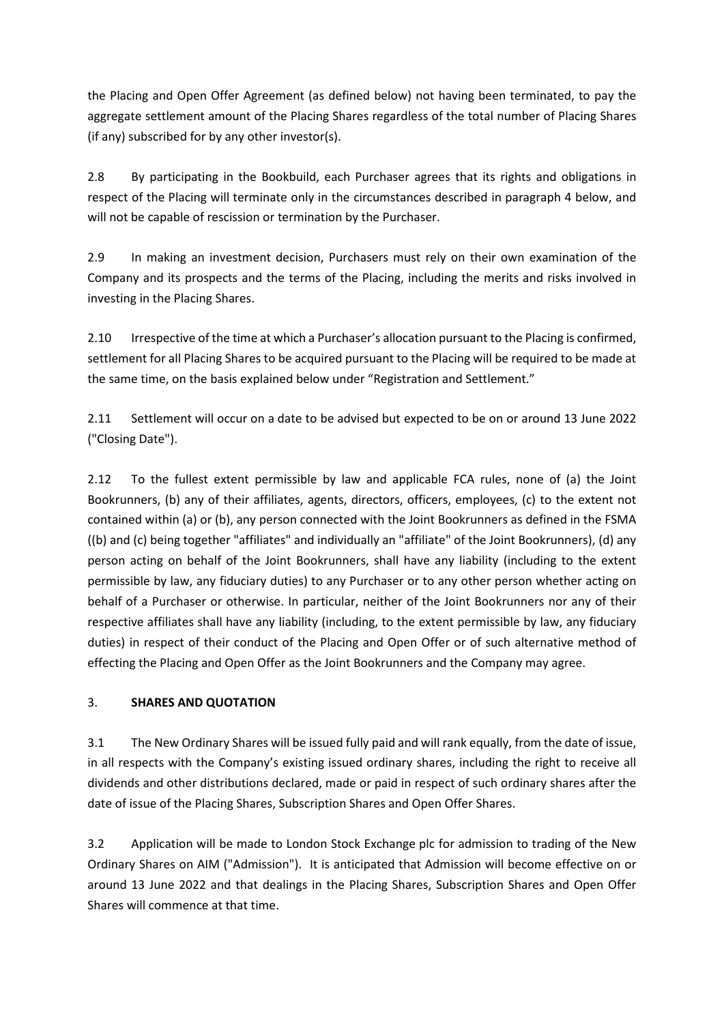the Placing and Open Offer Agreement (as defined below) not having been terminated, to pay the aggregate settlement amount of the Placing Shares regardless of the total number of Placing Shares (if any) subscribed for by any other investor(s).

2.8 By participating in the Bookbuild, each Purchaser agrees that its rights and obligations in respect of the Placing will terminate only in the circumstances described in paragraph 4 below, and will not be capable of rescission or termination by the Purchaser.

2.9 In making an investment decision, Purchasers must rely on their own examination of the Company and its prospects and the terms of the Placing, including the merits and risks involved in investing in the Placing Shares.

2.10 Irrespective of the time at which a Purchaser's allocation pursuant to the Placing is confirmed, settlement for all Placing Shares to be acquired pursuant to the Placing will be required to be made at the same time, on the basis explained below under "Registration and Settlement."

2.11 Settlement will occur on a date to be advised but expected to be on or around 13 June 2022 ("Closing Date").

2.12 To the fullest extent permissible by law and applicable FCA rules, none of (a) the Joint Bookrunners, (b) any of their affiliates, agents, directors, officers, employees, (c) to the extent not contained within (a) or (b), any person connected with the Joint Bookrunners as defined in the FSMA ((b) and (c) being together "affiliates" and individually an "affiliate" of the Joint Bookrunners), (d) any person acting on behalf of the Joint Bookrunners, shall have any liability (including to the extent permissible by law, any fiduciary duties) to any Purchaser or to any other person whether acting on behalf of a Purchaser or otherwise. In particular, neither of the Joint Bookrunners nor any of their respective affiliates shall have any liability (including, to the extent permissible by law, any fiduciary duties) in respect of their conduct of the Placing and Open Offer or of such alternative method of effecting the Placing and Open Offer as the Joint Bookrunners and the Company may agree.

# 3. **SHARES AND QUOTATION**

3.1 The New Ordinary Shares will be issued fully paid and will rank equally, from the date of issue, in all respects with the Company's existing issued ordinary shares, including the right to receive all dividends and other distributions declared, made or paid in respect of such ordinary shares after the date of issue of the Placing Shares, Subscription Shares and Open Offer Shares.

3.2 Application will be made to London Stock Exchange plc for admission to trading of the New Ordinary Shares on AIM ("Admission"). It is anticipated that Admission will become effective on or around 13 June 2022 and that dealings in the Placing Shares, Subscription Shares and Open Offer Shares will commence at that time.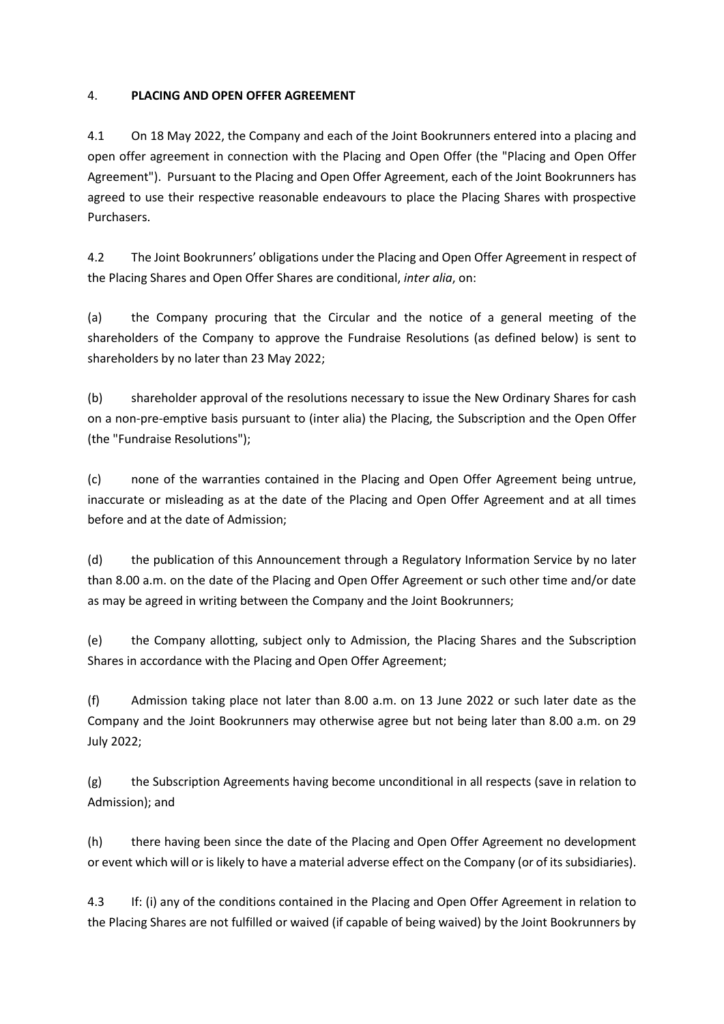### 4. **PLACING AND OPEN OFFER AGREEMENT**

4.1 On 18 May 2022, the Company and each of the Joint Bookrunners entered into a placing and open offer agreement in connection with the Placing and Open Offer (the "Placing and Open Offer Agreement"). Pursuant to the Placing and Open Offer Agreement, each of the Joint Bookrunners has agreed to use their respective reasonable endeavours to place the Placing Shares with prospective Purchasers.

4.2 The Joint Bookrunners' obligations under the Placing and Open Offer Agreement in respect of the Placing Shares and Open Offer Shares are conditional, *inter alia*, on:

(a) the Company procuring that the Circular and the notice of a general meeting of the shareholders of the Company to approve the Fundraise Resolutions (as defined below) is sent to shareholders by no later than 23 May 2022;

(b) shareholder approval of the resolutions necessary to issue the New Ordinary Shares for cash on a non-pre-emptive basis pursuant to (inter alia) the Placing, the Subscription and the Open Offer (the "Fundraise Resolutions");

(c) none of the warranties contained in the Placing and Open Offer Agreement being untrue, inaccurate or misleading as at the date of the Placing and Open Offer Agreement and at all times before and at the date of Admission;

(d) the publication of this Announcement through a Regulatory Information Service by no later than 8.00 a.m. on the date of the Placing and Open Offer Agreement or such other time and/or date as may be agreed in writing between the Company and the Joint Bookrunners;

(e) the Company allotting, subject only to Admission, the Placing Shares and the Subscription Shares in accordance with the Placing and Open Offer Agreement;

(f) Admission taking place not later than 8.00 a.m. on 13 June 2022 or such later date as the Company and the Joint Bookrunners may otherwise agree but not being later than 8.00 a.m. on 29 July 2022;

(g) the Subscription Agreements having become unconditional in all respects (save in relation to Admission); and

(h) there having been since the date of the Placing and Open Offer Agreement no development or event which will or is likely to have a material adverse effect on the Company (or of its subsidiaries).

4.3 If: (i) any of the conditions contained in the Placing and Open Offer Agreement in relation to the Placing Shares are not fulfilled or waived (if capable of being waived) by the Joint Bookrunners by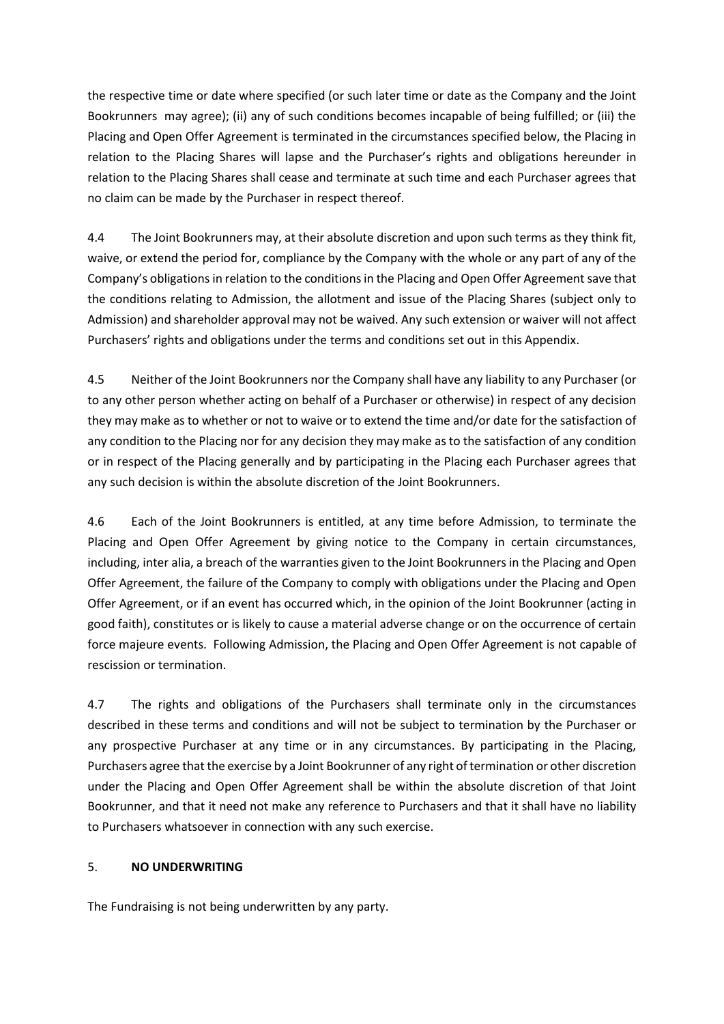the respective time or date where specified (or such later time or date as the Company and the Joint Bookrunners may agree); (ii) any of such conditions becomes incapable of being fulfilled; or (iii) the Placing and Open Offer Agreement is terminated in the circumstances specified below, the Placing in relation to the Placing Shares will lapse and the Purchaser's rights and obligations hereunder in relation to the Placing Shares shall cease and terminate at such time and each Purchaser agrees that no claim can be made by the Purchaser in respect thereof.

4.4 The Joint Bookrunners may, at their absolute discretion and upon such terms as they think fit, waive, or extend the period for, compliance by the Company with the whole or any part of any of the Company's obligations in relation to the conditions in the Placing and Open Offer Agreement save that the conditions relating to Admission, the allotment and issue of the Placing Shares (subject only to Admission) and shareholder approval may not be waived. Any such extension or waiver will not affect Purchasers' rights and obligations under the terms and conditions set out in this Appendix.

4.5 Neither of the Joint Bookrunners nor the Company shall have any liability to any Purchaser (or to any other person whether acting on behalf of a Purchaser or otherwise) in respect of any decision they may make as to whether or not to waive or to extend the time and/or date for the satisfaction of any condition to the Placing nor for any decision they may make as to the satisfaction of any condition or in respect of the Placing generally and by participating in the Placing each Purchaser agrees that any such decision is within the absolute discretion of the Joint Bookrunners.

4.6 Each of the Joint Bookrunners is entitled, at any time before Admission, to terminate the Placing and Open Offer Agreement by giving notice to the Company in certain circumstances, including, inter alia, a breach of the warranties given to the Joint Bookrunners in the Placing and Open Offer Agreement, the failure of the Company to comply with obligations under the Placing and Open Offer Agreement, or if an event has occurred which, in the opinion of the Joint Bookrunner (acting in good faith), constitutes or is likely to cause a material adverse change or on the occurrence of certain force majeure events. Following Admission, the Placing and Open Offer Agreement is not capable of rescission or termination.

4.7 The rights and obligations of the Purchasers shall terminate only in the circumstances described in these terms and conditions and will not be subject to termination by the Purchaser or any prospective Purchaser at any time or in any circumstances. By participating in the Placing, Purchasers agree that the exercise by a Joint Bookrunner of any right of termination or other discretion under the Placing and Open Offer Agreement shall be within the absolute discretion of that Joint Bookrunner, and that it need not make any reference to Purchasers and that it shall have no liability to Purchasers whatsoever in connection with any such exercise.

## 5. **NO UNDERWRITING**

The Fundraising is not being underwritten by any party.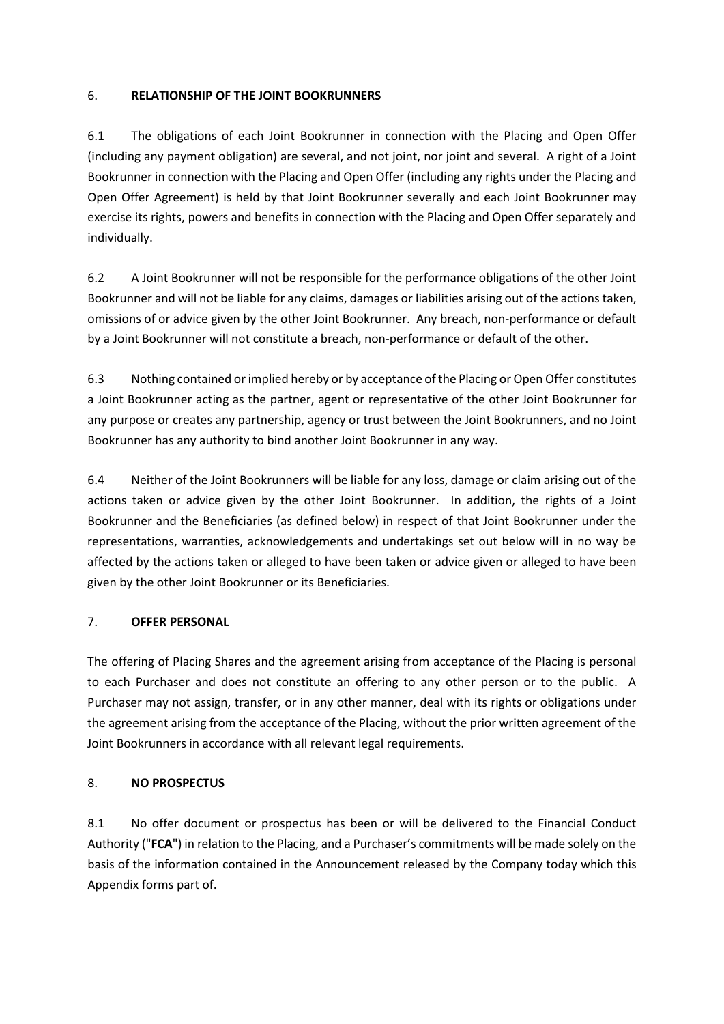### 6. **RELATIONSHIP OF THE JOINT BOOKRUNNERS**

6.1 The obligations of each Joint Bookrunner in connection with the Placing and Open Offer (including any payment obligation) are several, and not joint, nor joint and several. A right of a Joint Bookrunner in connection with the Placing and Open Offer (including any rights under the Placing and Open Offer Agreement) is held by that Joint Bookrunner severally and each Joint Bookrunner may exercise its rights, powers and benefits in connection with the Placing and Open Offer separately and individually.

6.2 A Joint Bookrunner will not be responsible for the performance obligations of the other Joint Bookrunner and will not be liable for any claims, damages or liabilities arising out of the actions taken, omissions of or advice given by the other Joint Bookrunner. Any breach, non-performance or default by a Joint Bookrunner will not constitute a breach, non-performance or default of the other.

6.3 Nothing contained or implied hereby or by acceptance of the Placing or Open Offer constitutes a Joint Bookrunner acting as the partner, agent or representative of the other Joint Bookrunner for any purpose or creates any partnership, agency or trust between the Joint Bookrunners, and no Joint Bookrunner has any authority to bind another Joint Bookrunner in any way.

6.4 Neither of the Joint Bookrunners will be liable for any loss, damage or claim arising out of the actions taken or advice given by the other Joint Bookrunner. In addition, the rights of a Joint Bookrunner and the Beneficiaries (as defined below) in respect of that Joint Bookrunner under the representations, warranties, acknowledgements and undertakings set out below will in no way be affected by the actions taken or alleged to have been taken or advice given or alleged to have been given by the other Joint Bookrunner or its Beneficiaries.

## 7. **OFFER PERSONAL**

The offering of Placing Shares and the agreement arising from acceptance of the Placing is personal to each Purchaser and does not constitute an offering to any other person or to the public. A Purchaser may not assign, transfer, or in any other manner, deal with its rights or obligations under the agreement arising from the acceptance of the Placing, without the prior written agreement of the Joint Bookrunners in accordance with all relevant legal requirements.

## 8. **NO PROSPECTUS**

8.1 No offer document or prospectus has been or will be delivered to the Financial Conduct Authority ("**FCA**") in relation to the Placing, and a Purchaser's commitments will be made solely on the basis of the information contained in the Announcement released by the Company today which this Appendix forms part of.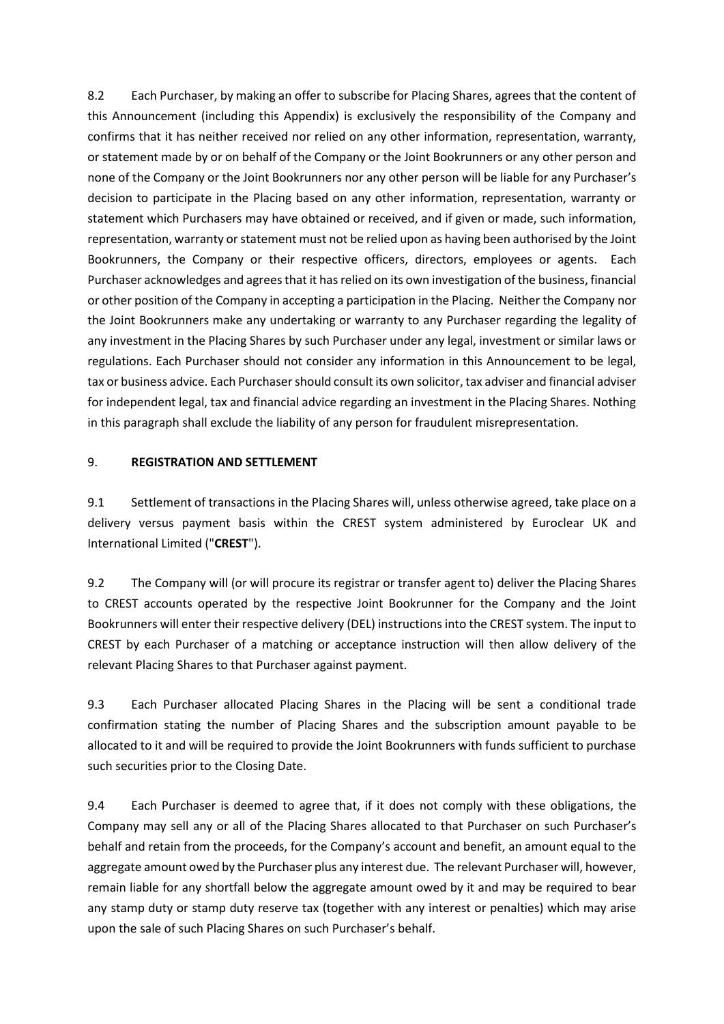8.2 Each Purchaser, by making an offer to subscribe for Placing Shares, agrees that the content of this Announcement (including this Appendix) is exclusively the responsibility of the Company and confirms that it has neither received nor relied on any other information, representation, warranty, or statement made by or on behalf of the Company or the Joint Bookrunners or any other person and none of the Company or the Joint Bookrunners nor any other person will be liable for any Purchaser's decision to participate in the Placing based on any other information, representation, warranty or statement which Purchasers may have obtained or received, and if given or made, such information, representation, warranty or statement must not be relied upon as having been authorised by the Joint Bookrunners, the Company or their respective officers, directors, employees or agents. Each Purchaser acknowledges and agrees that it has relied on its own investigation of the business, financial or other position of the Company in accepting a participation in the Placing. Neither the Company nor the Joint Bookrunners make any undertaking or warranty to any Purchaser regarding the legality of any investment in the Placing Shares by such Purchaser under any legal, investment or similar laws or regulations. Each Purchaser should not consider any information in this Announcement to be legal, tax or business advice. Each Purchaser should consult its own solicitor, tax adviser and financial adviser for independent legal, tax and financial advice regarding an investment in the Placing Shares. Nothing in this paragraph shall exclude the liability of any person for fraudulent misrepresentation.

### 9. **REGISTRATION AND SETTLEMENT**

9.1 Settlement of transactions in the Placing Shares will, unless otherwise agreed, take place on a delivery versus payment basis within the CREST system administered by Euroclear UK and International Limited ("**CREST**").

9.2 The Company will (or will procure its registrar or transfer agent to) deliver the Placing Shares to CREST accounts operated by the respective Joint Bookrunner for the Company and the Joint Bookrunners will enter their respective delivery (DEL) instructions into the CREST system. The input to CREST by each Purchaser of a matching or acceptance instruction will then allow delivery of the relevant Placing Shares to that Purchaser against payment.

9.3 Each Purchaser allocated Placing Shares in the Placing will be sent a conditional trade confirmation stating the number of Placing Shares and the subscription amount payable to be allocated to it and will be required to provide the Joint Bookrunners with funds sufficient to purchase such securities prior to the Closing Date.

9.4 Each Purchaser is deemed to agree that, if it does not comply with these obligations, the Company may sell any or all of the Placing Shares allocated to that Purchaser on such Purchaser's behalf and retain from the proceeds, for the Company's account and benefit, an amount equal to the aggregate amount owed by the Purchaser plus any interest due. The relevant Purchaser will, however, remain liable for any shortfall below the aggregate amount owed by it and may be required to bear any stamp duty or stamp duty reserve tax (together with any interest or penalties) which may arise upon the sale of such Placing Shares on such Purchaser's behalf.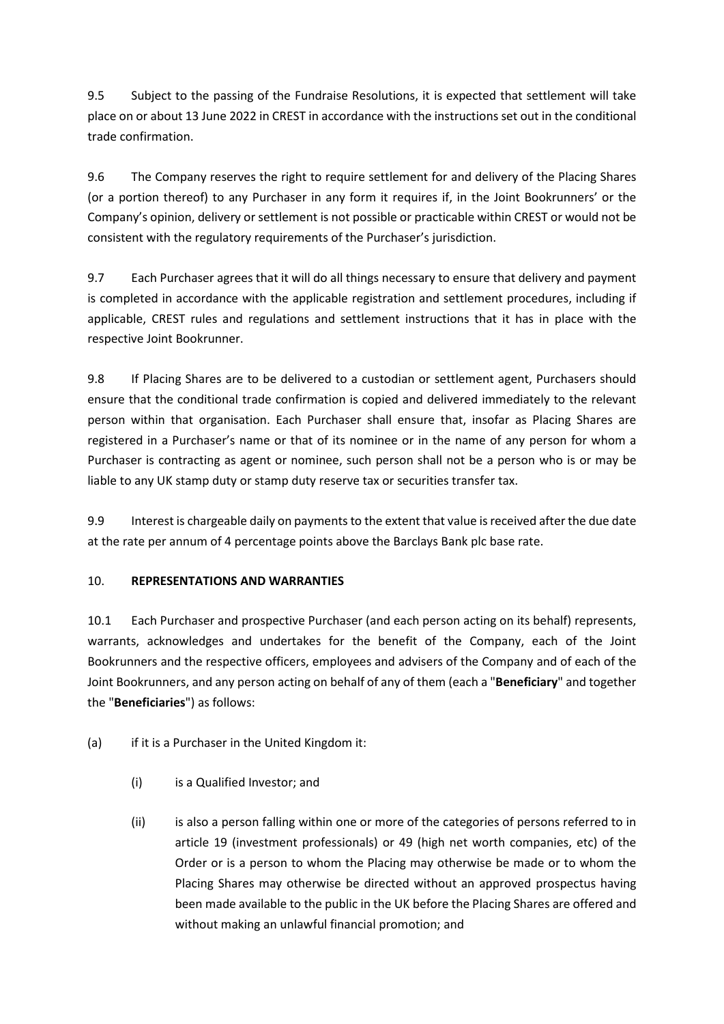9.5 Subject to the passing of the Fundraise Resolutions, it is expected that settlement will take place on or about 13 June 2022 in CREST in accordance with the instructions set out in the conditional trade confirmation.

9.6 The Company reserves the right to require settlement for and delivery of the Placing Shares (or a portion thereof) to any Purchaser in any form it requires if, in the Joint Bookrunners' or the Company's opinion, delivery or settlement is not possible or practicable within CREST or would not be consistent with the regulatory requirements of the Purchaser's jurisdiction.

9.7 Each Purchaser agrees that it will do all things necessary to ensure that delivery and payment is completed in accordance with the applicable registration and settlement procedures, including if applicable, CREST rules and regulations and settlement instructions that it has in place with the respective Joint Bookrunner.

9.8 If Placing Shares are to be delivered to a custodian or settlement agent, Purchasers should ensure that the conditional trade confirmation is copied and delivered immediately to the relevant person within that organisation. Each Purchaser shall ensure that, insofar as Placing Shares are registered in a Purchaser's name or that of its nominee or in the name of any person for whom a Purchaser is contracting as agent or nominee, such person shall not be a person who is or may be liable to any UK stamp duty or stamp duty reserve tax or securities transfer tax.

9.9 Interest is chargeable daily on payments to the extent that value is received after the due date at the rate per annum of 4 percentage points above the Barclays Bank plc base rate.

## 10. **REPRESENTATIONS AND WARRANTIES**

10.1 Each Purchaser and prospective Purchaser (and each person acting on its behalf) represents, warrants, acknowledges and undertakes for the benefit of the Company, each of the Joint Bookrunners and the respective officers, employees and advisers of the Company and of each of the Joint Bookrunners, and any person acting on behalf of any of them (each a "**Beneficiary**" and together the "**Beneficiaries**") as follows:

(a) if it is a Purchaser in the United Kingdom it:

- (i) is a Qualified Investor; and
- (ii) is also a person falling within one or more of the categories of persons referred to in article 19 (investment professionals) or 49 (high net worth companies, etc) of the Order or is a person to whom the Placing may otherwise be made or to whom the Placing Shares may otherwise be directed without an approved prospectus having been made available to the public in the UK before the Placing Shares are offered and without making an unlawful financial promotion; and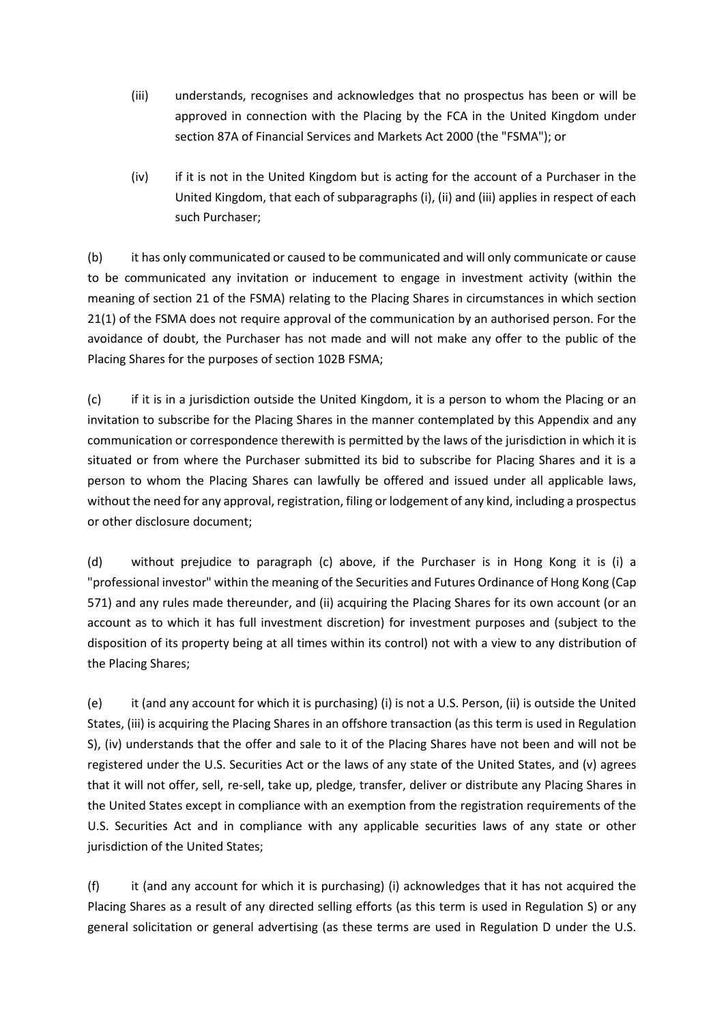- (iii) understands, recognises and acknowledges that no prospectus has been or will be approved in connection with the Placing by the FCA in the United Kingdom under section 87A of Financial Services and Markets Act 2000 (the "FSMA"); or
- (iv) if it is not in the United Kingdom but is acting for the account of a Purchaser in the United Kingdom, that each of subparagraphs (i), (ii) and (iii) applies in respect of each such Purchaser;

(b) it has only communicated or caused to be communicated and will only communicate or cause to be communicated any invitation or inducement to engage in investment activity (within the meaning of section 21 of the FSMA) relating to the Placing Shares in circumstances in which section 21(1) of the FSMA does not require approval of the communication by an authorised person. For the avoidance of doubt, the Purchaser has not made and will not make any offer to the public of the Placing Shares for the purposes of section 102B FSMA;

(c) if it is in a jurisdiction outside the United Kingdom, it is a person to whom the Placing or an invitation to subscribe for the Placing Shares in the manner contemplated by this Appendix and any communication or correspondence therewith is permitted by the laws of the jurisdiction in which it is situated or from where the Purchaser submitted its bid to subscribe for Placing Shares and it is a person to whom the Placing Shares can lawfully be offered and issued under all applicable laws, without the need for any approval, registration, filing or lodgement of any kind, including a prospectus or other disclosure document;

(d) without prejudice to paragraph (c) above, if the Purchaser is in Hong Kong it is (i) a "professional investor" within the meaning of the Securities and Futures Ordinance of Hong Kong (Cap 571) and any rules made thereunder, and (ii) acquiring the Placing Shares for its own account (or an account as to which it has full investment discretion) for investment purposes and (subject to the disposition of its property being at all times within its control) not with a view to any distribution of the Placing Shares;

(e) it (and any account for which it is purchasing) (i) is not a U.S. Person, (ii) is outside the United States, (iii) is acquiring the Placing Shares in an offshore transaction (as this term is used in Regulation S), (iv) understands that the offer and sale to it of the Placing Shares have not been and will not be registered under the U.S. Securities Act or the laws of any state of the United States, and (v) agrees that it will not offer, sell, re-sell, take up, pledge, transfer, deliver or distribute any Placing Shares in the United States except in compliance with an exemption from the registration requirements of the U.S. Securities Act and in compliance with any applicable securities laws of any state or other jurisdiction of the United States;

(f) it (and any account for which it is purchasing) (i) acknowledges that it has not acquired the Placing Shares as a result of any directed selling efforts (as this term is used in Regulation S) or any general solicitation or general advertising (as these terms are used in Regulation D under the U.S.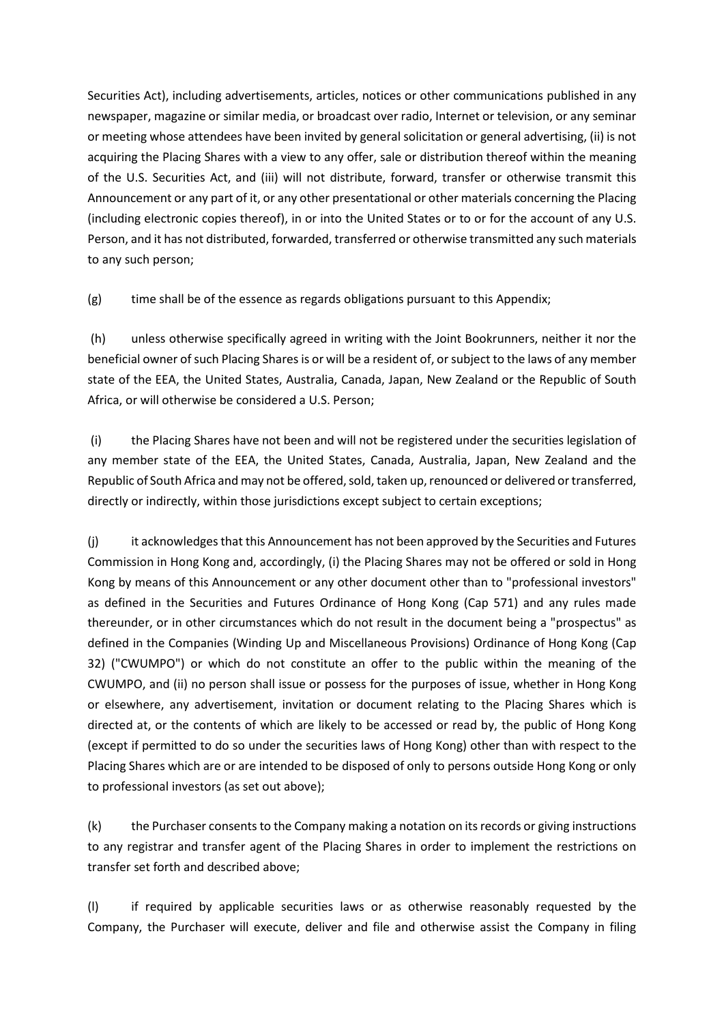Securities Act), including advertisements, articles, notices or other communications published in any newspaper, magazine or similar media, or broadcast over radio, Internet or television, or any seminar or meeting whose attendees have been invited by general solicitation or general advertising, (ii) is not acquiring the Placing Shares with a view to any offer, sale or distribution thereof within the meaning of the U.S. Securities Act, and (iii) will not distribute, forward, transfer or otherwise transmit this Announcement or any part of it, or any other presentational or other materials concerning the Placing (including electronic copies thereof), in or into the United States or to or for the account of any U.S. Person, and it has not distributed, forwarded, transferred or otherwise transmitted any such materials to any such person;

(g) time shall be of the essence as regards obligations pursuant to this Appendix;

(h) unless otherwise specifically agreed in writing with the Joint Bookrunners, neither it nor the beneficial owner of such Placing Shares is or will be a resident of, or subject to the laws of any member state of the EEA, the United States, Australia, Canada, Japan, New Zealand or the Republic of South Africa, or will otherwise be considered a U.S. Person;

(i) the Placing Shares have not been and will not be registered under the securities legislation of any member state of the EEA, the United States, Canada, Australia, Japan, New Zealand and the Republic of South Africa and may not be offered, sold, taken up, renounced or delivered or transferred, directly or indirectly, within those jurisdictions except subject to certain exceptions;

(j) it acknowledges that this Announcement has not been approved by the Securities and Futures Commission in Hong Kong and, accordingly, (i) the Placing Shares may not be offered or sold in Hong Kong by means of this Announcement or any other document other than to "professional investors" as defined in the Securities and Futures Ordinance of Hong Kong (Cap 571) and any rules made thereunder, or in other circumstances which do not result in the document being a "prospectus" as defined in the Companies (Winding Up and Miscellaneous Provisions) Ordinance of Hong Kong (Cap 32) ("CWUMPO") or which do not constitute an offer to the public within the meaning of the CWUMPO, and (ii) no person shall issue or possess for the purposes of issue, whether in Hong Kong or elsewhere, any advertisement, invitation or document relating to the Placing Shares which is directed at, or the contents of which are likely to be accessed or read by, the public of Hong Kong (except if permitted to do so under the securities laws of Hong Kong) other than with respect to the Placing Shares which are or are intended to be disposed of only to persons outside Hong Kong or only to professional investors (as set out above);

(k) the Purchaser consents to the Company making a notation on its records or giving instructions to any registrar and transfer agent of the Placing Shares in order to implement the restrictions on transfer set forth and described above;

(l) if required by applicable securities laws or as otherwise reasonably requested by the Company, the Purchaser will execute, deliver and file and otherwise assist the Company in filing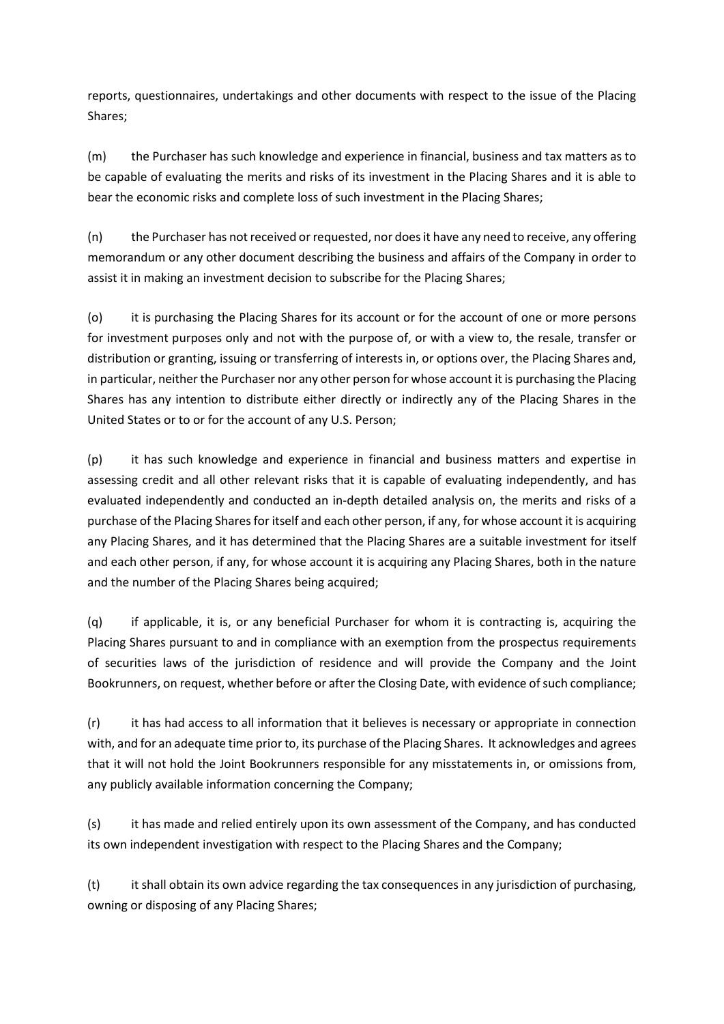reports, questionnaires, undertakings and other documents with respect to the issue of the Placing Shares;

(m) the Purchaser has such knowledge and experience in financial, business and tax matters as to be capable of evaluating the merits and risks of its investment in the Placing Shares and it is able to bear the economic risks and complete loss of such investment in the Placing Shares;

(n) the Purchaser has not received or requested, nor does it have any need to receive, any offering memorandum or any other document describing the business and affairs of the Company in order to assist it in making an investment decision to subscribe for the Placing Shares;

(o) it is purchasing the Placing Shares for its account or for the account of one or more persons for investment purposes only and not with the purpose of, or with a view to, the resale, transfer or distribution or granting, issuing or transferring of interests in, or options over, the Placing Shares and, in particular, neither the Purchaser nor any other person for whose account it is purchasing the Placing Shares has any intention to distribute either directly or indirectly any of the Placing Shares in the United States or to or for the account of any U.S. Person;

(p) it has such knowledge and experience in financial and business matters and expertise in assessing credit and all other relevant risks that it is capable of evaluating independently, and has evaluated independently and conducted an in-depth detailed analysis on, the merits and risks of a purchase of the Placing Shares for itself and each other person, if any, for whose account it is acquiring any Placing Shares, and it has determined that the Placing Shares are a suitable investment for itself and each other person, if any, for whose account it is acquiring any Placing Shares, both in the nature and the number of the Placing Shares being acquired;

(q) if applicable, it is, or any beneficial Purchaser for whom it is contracting is, acquiring the Placing Shares pursuant to and in compliance with an exemption from the prospectus requirements of securities laws of the jurisdiction of residence and will provide the Company and the Joint Bookrunners, on request, whether before or after the Closing Date, with evidence of such compliance;

(r) it has had access to all information that it believes is necessary or appropriate in connection with, and for an adequate time prior to, its purchase of the Placing Shares. It acknowledges and agrees that it will not hold the Joint Bookrunners responsible for any misstatements in, or omissions from, any publicly available information concerning the Company;

(s) it has made and relied entirely upon its own assessment of the Company, and has conducted its own independent investigation with respect to the Placing Shares and the Company;

(t) it shall obtain its own advice regarding the tax consequences in any jurisdiction of purchasing, owning or disposing of any Placing Shares;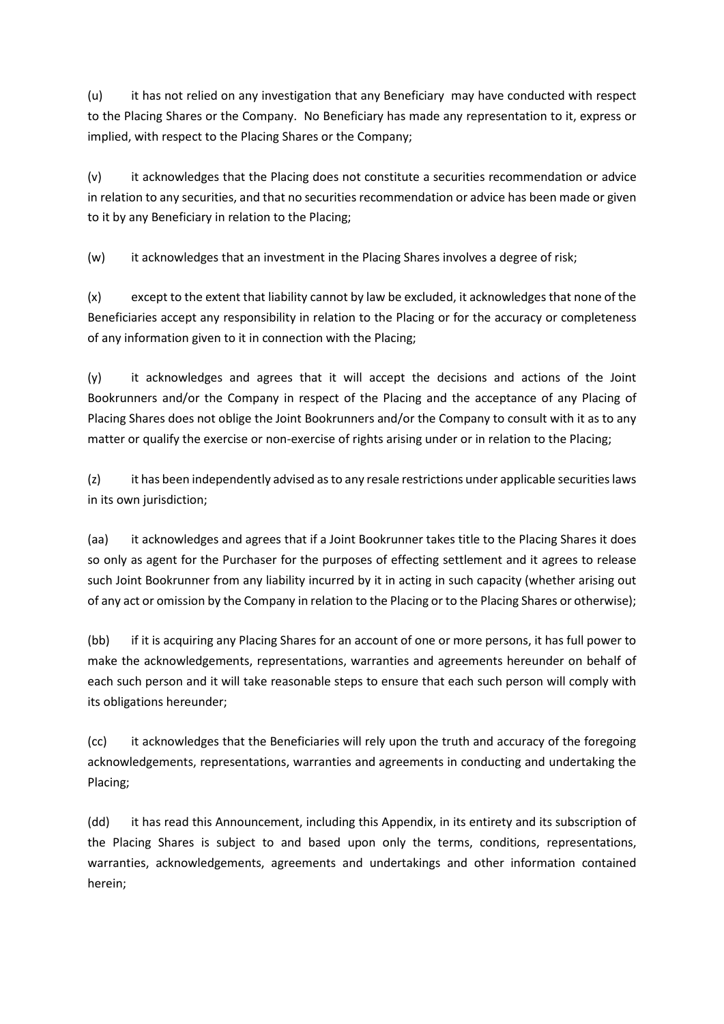(u) it has not relied on any investigation that any Beneficiary may have conducted with respect to the Placing Shares or the Company. No Beneficiary has made any representation to it, express or implied, with respect to the Placing Shares or the Company;

(v) it acknowledges that the Placing does not constitute a securities recommendation or advice in relation to any securities, and that no securities recommendation or advice has been made or given to it by any Beneficiary in relation to the Placing;

(w) it acknowledges that an investment in the Placing Shares involves a degree of risk;

(x) except to the extent that liability cannot by law be excluded, it acknowledges that none of the Beneficiaries accept any responsibility in relation to the Placing or for the accuracy or completeness of any information given to it in connection with the Placing;

(y) it acknowledges and agrees that it will accept the decisions and actions of the Joint Bookrunners and/or the Company in respect of the Placing and the acceptance of any Placing of Placing Shares does not oblige the Joint Bookrunners and/or the Company to consult with it as to any matter or qualify the exercise or non-exercise of rights arising under or in relation to the Placing;

(z) it has been independently advised as to any resale restrictions under applicable securities laws in its own jurisdiction;

(aa) it acknowledges and agrees that if a Joint Bookrunner takes title to the Placing Shares it does so only as agent for the Purchaser for the purposes of effecting settlement and it agrees to release such Joint Bookrunner from any liability incurred by it in acting in such capacity (whether arising out of any act or omission by the Company in relation to the Placing or to the Placing Shares or otherwise);

(bb) if it is acquiring any Placing Shares for an account of one or more persons, it has full power to make the acknowledgements, representations, warranties and agreements hereunder on behalf of each such person and it will take reasonable steps to ensure that each such person will comply with its obligations hereunder;

(cc) it acknowledges that the Beneficiaries will rely upon the truth and accuracy of the foregoing acknowledgements, representations, warranties and agreements in conducting and undertaking the Placing;

(dd) it has read this Announcement, including this Appendix, in its entirety and its subscription of the Placing Shares is subject to and based upon only the terms, conditions, representations, warranties, acknowledgements, agreements and undertakings and other information contained herein;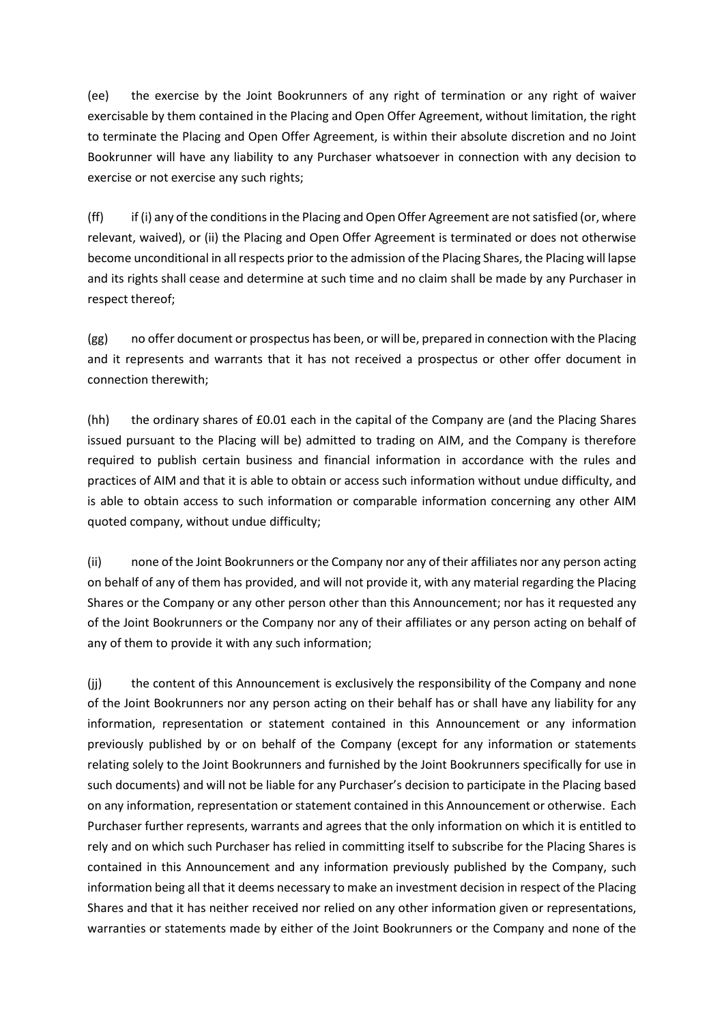(ee) the exercise by the Joint Bookrunners of any right of termination or any right of waiver exercisable by them contained in the Placing and Open Offer Agreement, without limitation, the right to terminate the Placing and Open Offer Agreement, is within their absolute discretion and no Joint Bookrunner will have any liability to any Purchaser whatsoever in connection with any decision to exercise or not exercise any such rights;

(ff) if (i) any of the conditions in the Placing and Open Offer Agreement are not satisfied (or, where relevant, waived), or (ii) the Placing and Open Offer Agreement is terminated or does not otherwise become unconditional in all respects prior to the admission of the Placing Shares, the Placing will lapse and its rights shall cease and determine at such time and no claim shall be made by any Purchaser in respect thereof;

(gg) no offer document or prospectus has been, or will be, prepared in connection with the Placing and it represents and warrants that it has not received a prospectus or other offer document in connection therewith;

(hh) the ordinary shares of £0.01 each in the capital of the Company are (and the Placing Shares issued pursuant to the Placing will be) admitted to trading on AIM, and the Company is therefore required to publish certain business and financial information in accordance with the rules and practices of AIM and that it is able to obtain or access such information without undue difficulty, and is able to obtain access to such information or comparable information concerning any other AIM quoted company, without undue difficulty;

(ii) none of the Joint Bookrunners or the Company nor any of their affiliates nor any person acting on behalf of any of them has provided, and will not provide it, with any material regarding the Placing Shares or the Company or any other person other than this Announcement; nor has it requested any of the Joint Bookrunners or the Company nor any of their affiliates or any person acting on behalf of any of them to provide it with any such information;

(jj) the content of this Announcement is exclusively the responsibility of the Company and none of the Joint Bookrunners nor any person acting on their behalf has or shall have any liability for any information, representation or statement contained in this Announcement or any information previously published by or on behalf of the Company (except for any information or statements relating solely to the Joint Bookrunners and furnished by the Joint Bookrunners specifically for use in such documents) and will not be liable for any Purchaser's decision to participate in the Placing based on any information, representation or statement contained in this Announcement or otherwise. Each Purchaser further represents, warrants and agrees that the only information on which it is entitled to rely and on which such Purchaser has relied in committing itself to subscribe for the Placing Shares is contained in this Announcement and any information previously published by the Company, such information being all that it deems necessary to make an investment decision in respect of the Placing Shares and that it has neither received nor relied on any other information given or representations, warranties or statements made by either of the Joint Bookrunners or the Company and none of the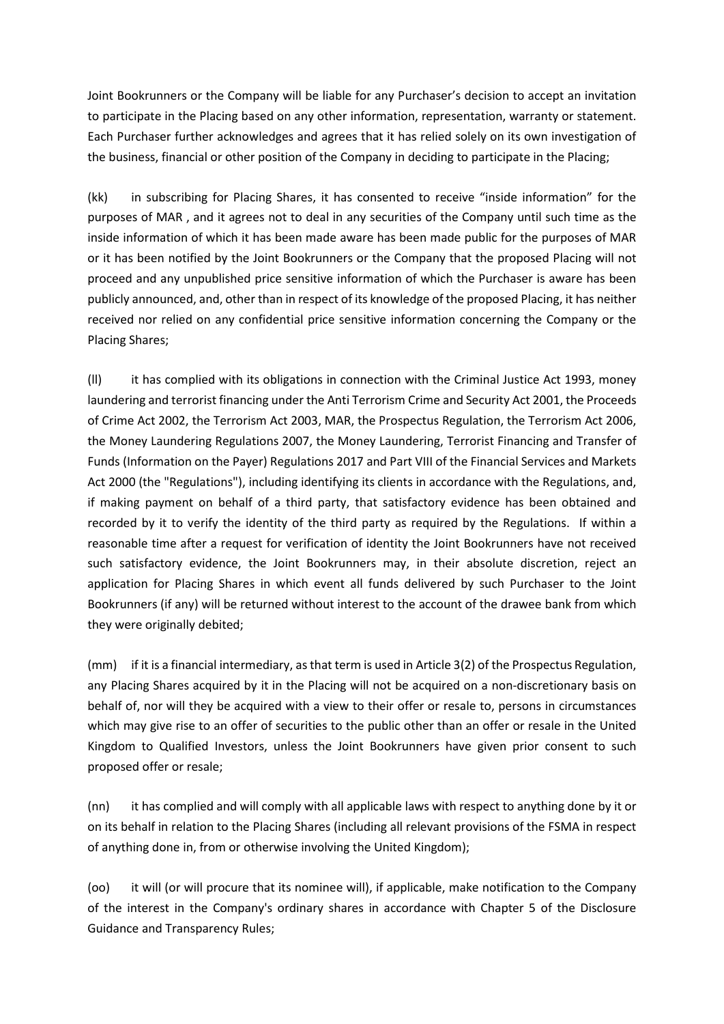Joint Bookrunners or the Company will be liable for any Purchaser's decision to accept an invitation to participate in the Placing based on any other information, representation, warranty or statement. Each Purchaser further acknowledges and agrees that it has relied solely on its own investigation of the business, financial or other position of the Company in deciding to participate in the Placing;

(kk) in subscribing for Placing Shares, it has consented to receive "inside information" for the purposes of MAR , and it agrees not to deal in any securities of the Company until such time as the inside information of which it has been made aware has been made public for the purposes of MAR or it has been notified by the Joint Bookrunners or the Company that the proposed Placing will not proceed and any unpublished price sensitive information of which the Purchaser is aware has been publicly announced, and, other than in respect of its knowledge of the proposed Placing, it has neither received nor relied on any confidential price sensitive information concerning the Company or the Placing Shares;

(ll) it has complied with its obligations in connection with the Criminal Justice Act 1993, money laundering and terrorist financing under the Anti Terrorism Crime and Security Act 2001, the Proceeds of Crime Act 2002, the Terrorism Act 2003, MAR, the Prospectus Regulation, the Terrorism Act 2006, the Money Laundering Regulations 2007, the Money Laundering, Terrorist Financing and Transfer of Funds (Information on the Payer) Regulations 2017 and Part VIII of the Financial Services and Markets Act 2000 (the "Regulations"), including identifying its clients in accordance with the Regulations, and, if making payment on behalf of a third party, that satisfactory evidence has been obtained and recorded by it to verify the identity of the third party as required by the Regulations. If within a reasonable time after a request for verification of identity the Joint Bookrunners have not received such satisfactory evidence, the Joint Bookrunners may, in their absolute discretion, reject an application for Placing Shares in which event all funds delivered by such Purchaser to the Joint Bookrunners (if any) will be returned without interest to the account of the drawee bank from which they were originally debited;

(mm) if it is a financial intermediary, as that term is used in Article 3(2) of the Prospectus Regulation, any Placing Shares acquired by it in the Placing will not be acquired on a non-discretionary basis on behalf of, nor will they be acquired with a view to their offer or resale to, persons in circumstances which may give rise to an offer of securities to the public other than an offer or resale in the United Kingdom to Qualified Investors, unless the Joint Bookrunners have given prior consent to such proposed offer or resale;

(nn) it has complied and will comply with all applicable laws with respect to anything done by it or on its behalf in relation to the Placing Shares (including all relevant provisions of the FSMA in respect of anything done in, from or otherwise involving the United Kingdom);

(oo) it will (or will procure that its nominee will), if applicable, make notification to the Company of the interest in the Company's ordinary shares in accordance with Chapter 5 of the Disclosure Guidance and Transparency Rules;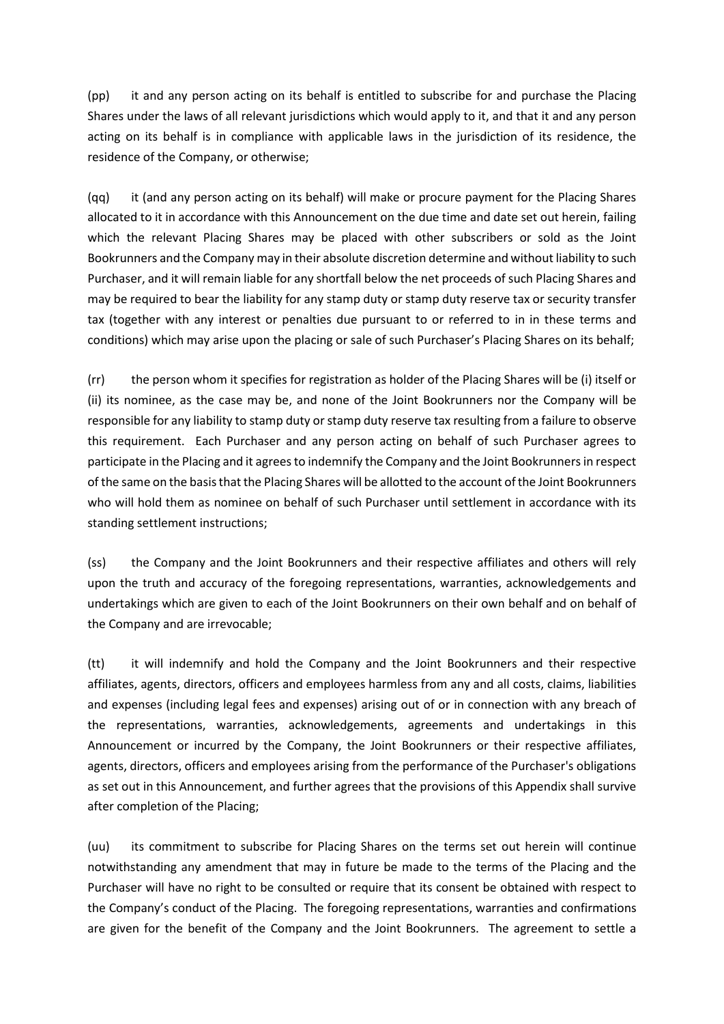(pp) it and any person acting on its behalf is entitled to subscribe for and purchase the Placing Shares under the laws of all relevant jurisdictions which would apply to it, and that it and any person acting on its behalf is in compliance with applicable laws in the jurisdiction of its residence, the residence of the Company, or otherwise;

(qq) it (and any person acting on its behalf) will make or procure payment for the Placing Shares allocated to it in accordance with this Announcement on the due time and date set out herein, failing which the relevant Placing Shares may be placed with other subscribers or sold as the Joint Bookrunners and the Company may in their absolute discretion determine and without liability to such Purchaser, and it will remain liable for any shortfall below the net proceeds of such Placing Shares and may be required to bear the liability for any stamp duty or stamp duty reserve tax or security transfer tax (together with any interest or penalties due pursuant to or referred to in in these terms and conditions) which may arise upon the placing or sale of such Purchaser's Placing Shares on its behalf;

(rr) the person whom it specifies for registration as holder of the Placing Shares will be (i) itself or (ii) its nominee, as the case may be, and none of the Joint Bookrunners nor the Company will be responsible for any liability to stamp duty or stamp duty reserve tax resulting from a failure to observe this requirement. Each Purchaser and any person acting on behalf of such Purchaser agrees to participate in the Placing and it agrees to indemnify the Company and the Joint Bookrunners in respect of the same on the basis that the Placing Shares will be allotted to the account of the Joint Bookrunners who will hold them as nominee on behalf of such Purchaser until settlement in accordance with its standing settlement instructions;

(ss) the Company and the Joint Bookrunners and their respective affiliates and others will rely upon the truth and accuracy of the foregoing representations, warranties, acknowledgements and undertakings which are given to each of the Joint Bookrunners on their own behalf and on behalf of the Company and are irrevocable;

(tt) it will indemnify and hold the Company and the Joint Bookrunners and their respective affiliates, agents, directors, officers and employees harmless from any and all costs, claims, liabilities and expenses (including legal fees and expenses) arising out of or in connection with any breach of the representations, warranties, acknowledgements, agreements and undertakings in this Announcement or incurred by the Company, the Joint Bookrunners or their respective affiliates, agents, directors, officers and employees arising from the performance of the Purchaser's obligations as set out in this Announcement, and further agrees that the provisions of this Appendix shall survive after completion of the Placing;

(uu) its commitment to subscribe for Placing Shares on the terms set out herein will continue notwithstanding any amendment that may in future be made to the terms of the Placing and the Purchaser will have no right to be consulted or require that its consent be obtained with respect to the Company's conduct of the Placing. The foregoing representations, warranties and confirmations are given for the benefit of the Company and the Joint Bookrunners. The agreement to settle a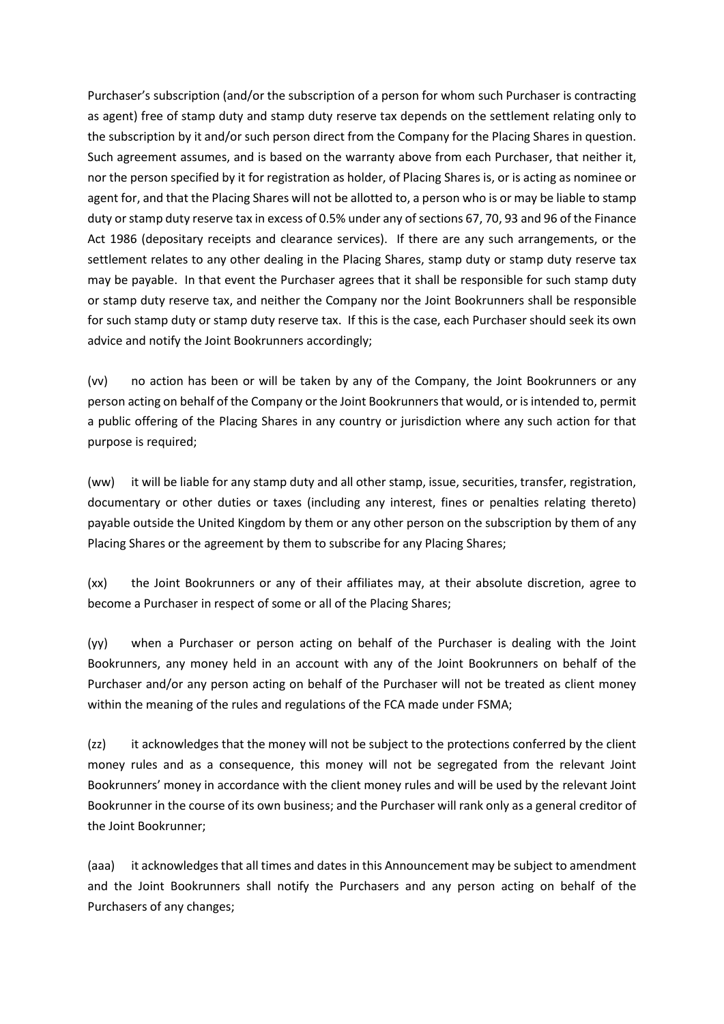Purchaser's subscription (and/or the subscription of a person for whom such Purchaser is contracting as agent) free of stamp duty and stamp duty reserve tax depends on the settlement relating only to the subscription by it and/or such person direct from the Company for the Placing Shares in question. Such agreement assumes, and is based on the warranty above from each Purchaser, that neither it, nor the person specified by it for registration as holder, of Placing Shares is, or is acting as nominee or agent for, and that the Placing Shares will not be allotted to, a person who is or may be liable to stamp duty or stamp duty reserve tax in excess of 0.5% under any of sections 67, 70, 93 and 96 of the Finance Act 1986 (depositary receipts and clearance services). If there are any such arrangements, or the settlement relates to any other dealing in the Placing Shares, stamp duty or stamp duty reserve tax may be payable. In that event the Purchaser agrees that it shall be responsible for such stamp duty or stamp duty reserve tax, and neither the Company nor the Joint Bookrunners shall be responsible for such stamp duty or stamp duty reserve tax. If this is the case, each Purchaser should seek its own advice and notify the Joint Bookrunners accordingly;

(vv) no action has been or will be taken by any of the Company, the Joint Bookrunners or any person acting on behalf of the Company or the Joint Bookrunners that would, or is intended to, permit a public offering of the Placing Shares in any country or jurisdiction where any such action for that purpose is required;

(ww) it will be liable for any stamp duty and all other stamp, issue, securities, transfer, registration, documentary or other duties or taxes (including any interest, fines or penalties relating thereto) payable outside the United Kingdom by them or any other person on the subscription by them of any Placing Shares or the agreement by them to subscribe for any Placing Shares;

(xx) the Joint Bookrunners or any of their affiliates may, at their absolute discretion, agree to become a Purchaser in respect of some or all of the Placing Shares;

(yy) when a Purchaser or person acting on behalf of the Purchaser is dealing with the Joint Bookrunners, any money held in an account with any of the Joint Bookrunners on behalf of the Purchaser and/or any person acting on behalf of the Purchaser will not be treated as client money within the meaning of the rules and regulations of the FCA made under FSMA;

(zz) it acknowledges that the money will not be subject to the protections conferred by the client money rules and as a consequence, this money will not be segregated from the relevant Joint Bookrunners' money in accordance with the client money rules and will be used by the relevant Joint Bookrunner in the course of its own business; and the Purchaser will rank only as a general creditor of the Joint Bookrunner;

(aaa) it acknowledges that all times and dates in this Announcement may be subject to amendment and the Joint Bookrunners shall notify the Purchasers and any person acting on behalf of the Purchasers of any changes;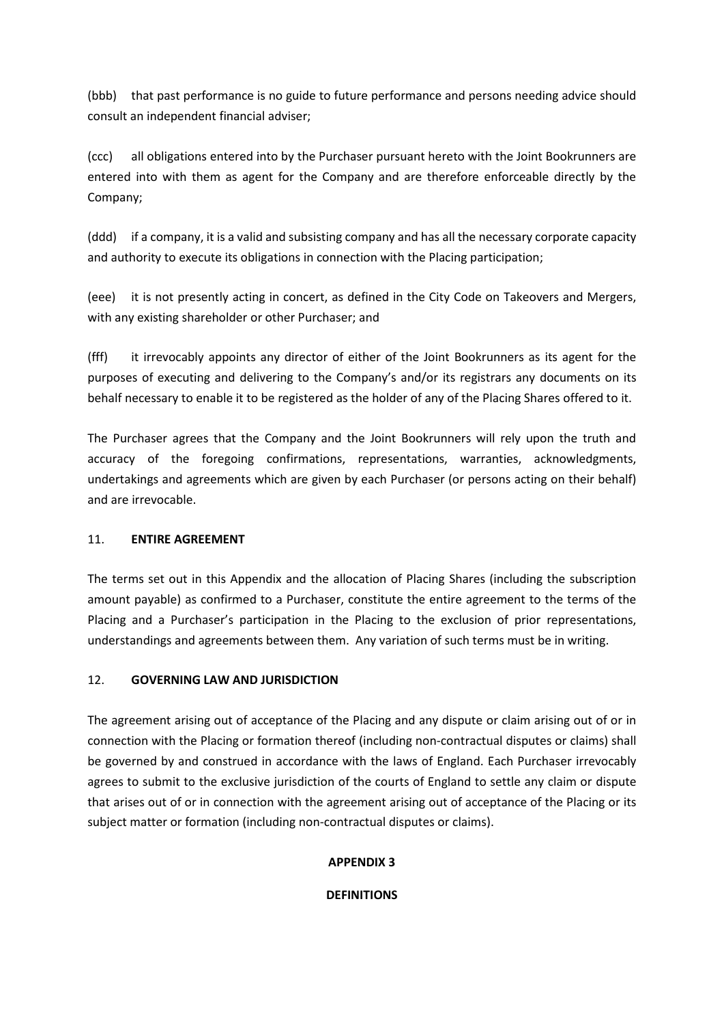(bbb) that past performance is no guide to future performance and persons needing advice should consult an independent financial adviser;

(ccc) all obligations entered into by the Purchaser pursuant hereto with the Joint Bookrunners are entered into with them as agent for the Company and are therefore enforceable directly by the Company;

(ddd) if a company, it is a valid and subsisting company and has all the necessary corporate capacity and authority to execute its obligations in connection with the Placing participation;

(eee) it is not presently acting in concert, as defined in the City Code on Takeovers and Mergers, with any existing shareholder or other Purchaser; and

(fff) it irrevocably appoints any director of either of the Joint Bookrunners as its agent for the purposes of executing and delivering to the Company's and/or its registrars any documents on its behalf necessary to enable it to be registered as the holder of any of the Placing Shares offered to it.

The Purchaser agrees that the Company and the Joint Bookrunners will rely upon the truth and accuracy of the foregoing confirmations, representations, warranties, acknowledgments, undertakings and agreements which are given by each Purchaser (or persons acting on their behalf) and are irrevocable.

## 11. **ENTIRE AGREEMENT**

The terms set out in this Appendix and the allocation of Placing Shares (including the subscription amount payable) as confirmed to a Purchaser, constitute the entire agreement to the terms of the Placing and a Purchaser's participation in the Placing to the exclusion of prior representations, understandings and agreements between them. Any variation of such terms must be in writing.

## 12. **GOVERNING LAW AND JURISDICTION**

The agreement arising out of acceptance of the Placing and any dispute or claim arising out of or in connection with the Placing or formation thereof (including non-contractual disputes or claims) shall be governed by and construed in accordance with the laws of England. Each Purchaser irrevocably agrees to submit to the exclusive jurisdiction of the courts of England to settle any claim or dispute that arises out of or in connection with the agreement arising out of acceptance of the Placing or its subject matter or formation (including non-contractual disputes or claims).

## **APPENDIX 3**

**DEFINITIONS**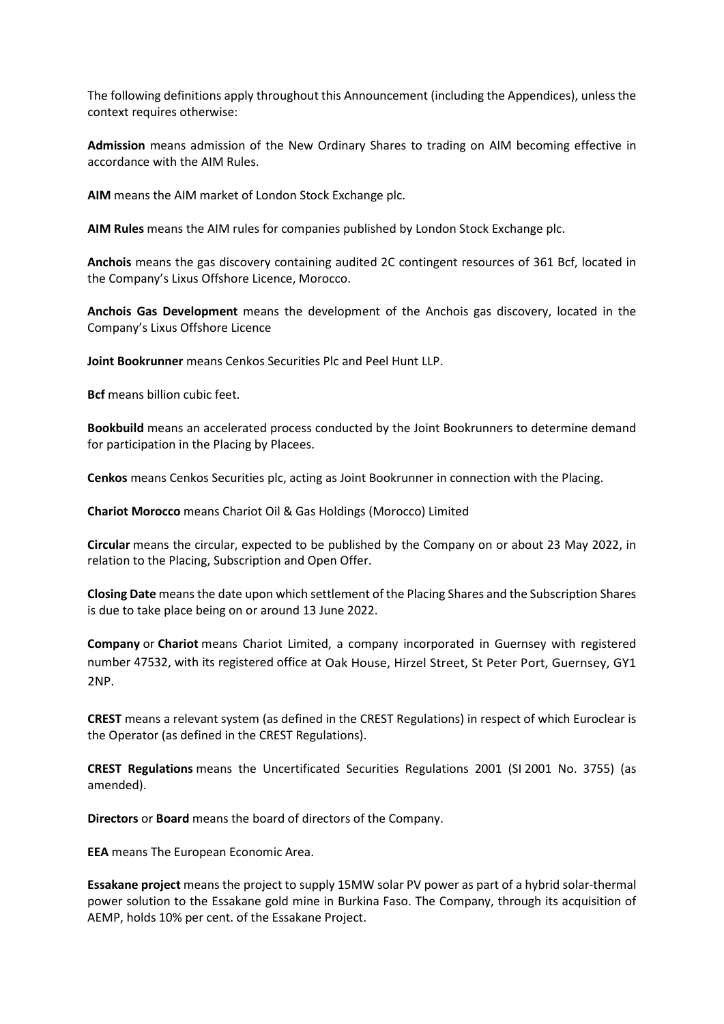The following definitions apply throughout this Announcement (including the Appendices), unless the context requires otherwise:

**Admission** means admission of the New Ordinary Shares to trading on AIM becoming effective in accordance with the AIM Rules.

**AIM** means the AIM market of London Stock Exchange plc.

**AIM Rules** means the AIM rules for companies published by London Stock Exchange plc.

**Anchois** means the gas discovery containing audited 2C contingent resources of 361 Bcf, located in the Company's Lixus Offshore Licence, Morocco.

**Anchois Gas Development** means the development of the Anchois gas discovery, located in the Company's Lixus Offshore Licence

**Joint Bookrunner** means Cenkos Securities Plc and Peel Hunt LLP.

**Bcf** means billion cubic feet.

**Bookbuild** means an accelerated process conducted by the Joint Bookrunners to determine demand for participation in the Placing by Placees.

**Cenkos** means Cenkos Securities plc, acting as Joint Bookrunner in connection with the Placing.

**Chariot Morocco** means Chariot Oil & Gas Holdings (Morocco) Limited

**Circular** means the circular, expected to be published by the Company on or about 23 May 2022, in relation to the Placing, Subscription and Open Offer.

**Closing Date** means the date upon which settlement of the Placing Shares and the Subscription Shares is due to take place being on or around 13 June 2022.

**Company** or **Chariot** means Chariot Limited, a company incorporated in Guernsey with registered number 47532, with its registered office at Oak House, Hirzel Street, St Peter Port, Guernsey, GY1 2NP.

**CREST** means a relevant system (as defined in the CREST Regulations) in respect of which Euroclear is the Operator (as defined in the CREST Regulations).

**CREST Regulations** means the Uncertificated Securities Regulations 2001 (SI 2001 No. 3755) (as amended).

**Directors** or **Board** means the board of directors of the Company.

**EEA** means The European Economic Area.

**Essakane project** means the project to supply 15MW solar PV power as part of a hybrid solar-thermal power solution to the Essakane gold mine in Burkina Faso. The Company, through its acquisition of AEMP, holds 10% per cent. of the Essakane Project.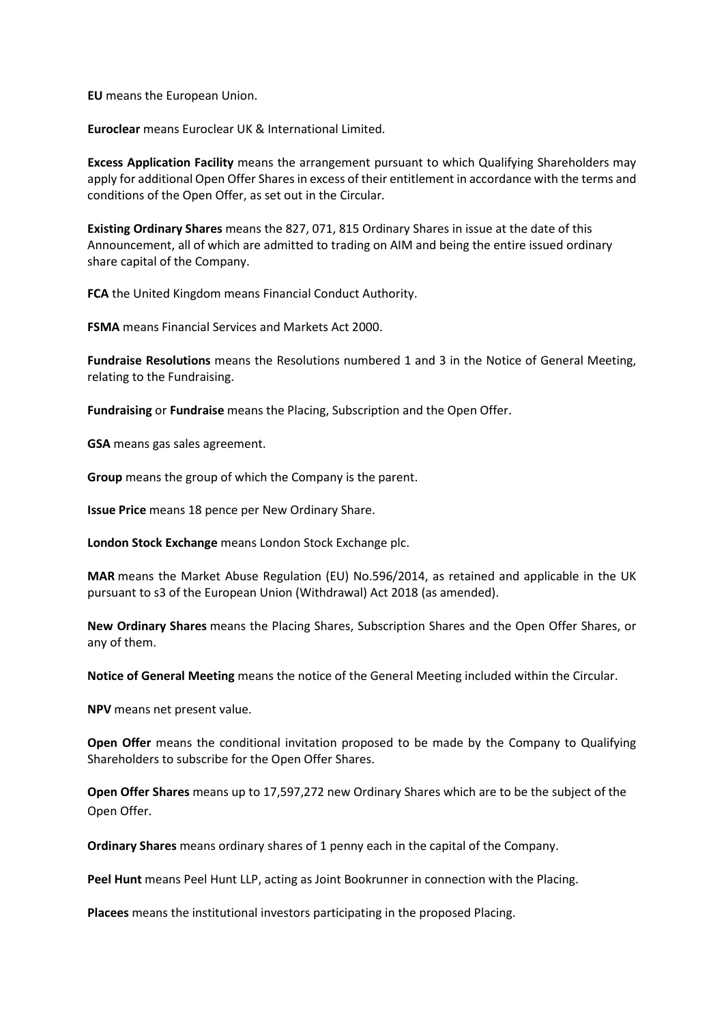**EU** means the European Union.

**Euroclear** means Euroclear UK & International Limited.

**Excess Application Facility** means the arrangement pursuant to which Qualifying Shareholders may apply for additional Open Offer Shares in excess of their entitlement in accordance with the terms and conditions of the Open Offer, as set out in the Circular.

**Existing Ordinary Shares** means the 827, 071, 815 Ordinary Shares in issue at the date of this Announcement, all of which are admitted to trading on AIM and being the entire issued ordinary share capital of the Company.

**FCA** the United Kingdom means Financial Conduct Authority.

**FSMA** means Financial Services and Markets Act 2000.

**Fundraise Resolutions** means the Resolutions numbered 1 and 3 in the Notice of General Meeting, relating to the Fundraising.

**Fundraising** or **Fundraise** means the Placing, Subscription and the Open Offer.

**GSA** means gas sales agreement.

**Group** means the group of which the Company is the parent.

**Issue Price** means 18 pence per New Ordinary Share.

**London Stock Exchange** means London Stock Exchange plc.

**MAR** means the Market Abuse Regulation (EU) No.596/2014, as retained and applicable in the UK pursuant to s3 of the European Union (Withdrawal) Act 2018 (as amended).

**New Ordinary Shares** means the Placing Shares, Subscription Shares and the Open Offer Shares, or any of them.

**Notice of General Meeting** means the notice of the General Meeting included within the Circular.

**NPV** means net present value.

**Open Offer** means the conditional invitation proposed to be made by the Company to Qualifying Shareholders to subscribe for the Open Offer Shares.

**Open Offer Shares** means up to 17,597,272 new Ordinary Shares which are to be the subject of the Open Offer.

**Ordinary Shares** means ordinary shares of 1 penny each in the capital of the Company.

**Peel Hunt** means Peel Hunt LLP, acting as Joint Bookrunner in connection with the Placing.

**Placees** means the institutional investors participating in the proposed Placing.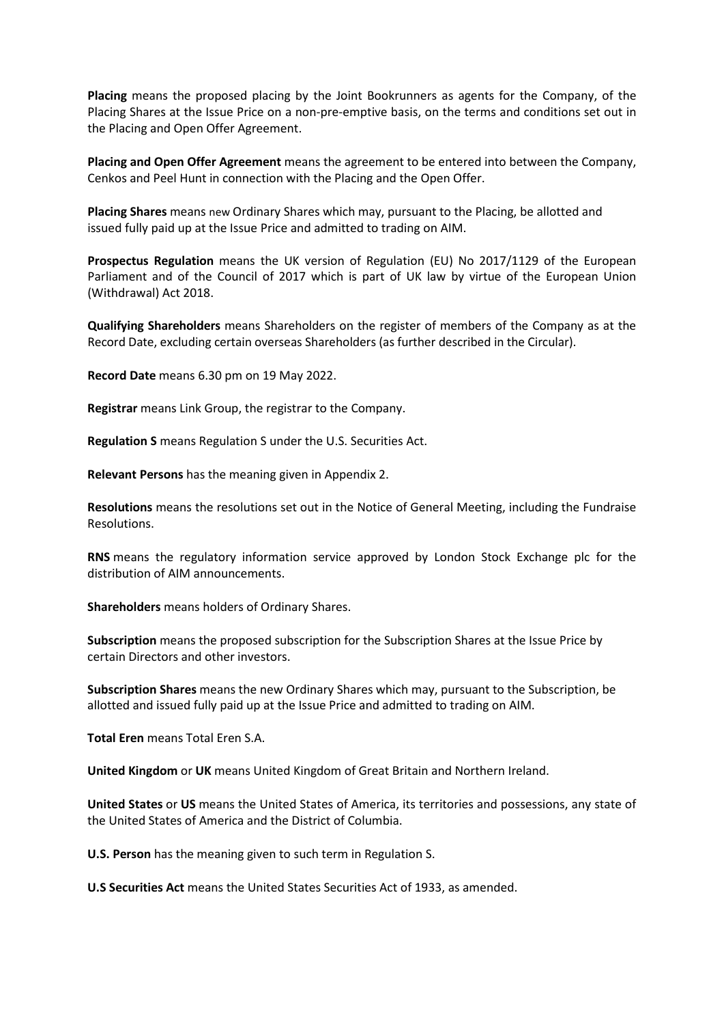**Placing** means the proposed placing by the Joint Bookrunners as agents for the Company, of the Placing Shares at the Issue Price on a non-pre-emptive basis, on the terms and conditions set out in the Placing and Open Offer Agreement.

**Placing and Open Offer Agreement** means the agreement to be entered into between the Company, Cenkos and Peel Hunt in connection with the Placing and the Open Offer.

**Placing Shares** means new Ordinary Shares which may, pursuant to the Placing, be allotted and issued fully paid up at the Issue Price and admitted to trading on AIM.

**Prospectus Regulation** means the UK version of Regulation (EU) No 2017/1129 of the European Parliament and of the Council of 2017 which is part of UK law by virtue of the European Union (Withdrawal) Act 2018.

**Qualifying Shareholders** means Shareholders on the register of members of the Company as at the Record Date, excluding certain overseas Shareholders (as further described in the Circular).

**Record Date** means 6.30 pm on 19 May 2022.

**Registrar** means Link Group, the registrar to the Company.

**Regulation S** means Regulation S under the U.S. Securities Act.

**Relevant Persons** has the meaning given in Appendix 2.

**Resolutions** means the resolutions set out in the Notice of General Meeting, including the Fundraise Resolutions.

**RNS** means the regulatory information service approved by London Stock Exchange plc for the distribution of AIM announcements.

**Shareholders** means holders of Ordinary Shares.

**Subscription** means the proposed subscription for the Subscription Shares at the Issue Price by certain Directors and other investors.

**Subscription Shares** means the new Ordinary Shares which may, pursuant to the Subscription, be allotted and issued fully paid up at the Issue Price and admitted to trading on AIM.

**Total Eren** means Total Eren S.A.

**United Kingdom** or **UK** means United Kingdom of Great Britain and Northern Ireland.

**United States** or **US** means the United States of America, its territories and possessions, any state of the United States of America and the District of Columbia.

**U.S. Person** has the meaning given to such term in Regulation S.

**U.S Securities Act** means the United States Securities Act of 1933, as amended.